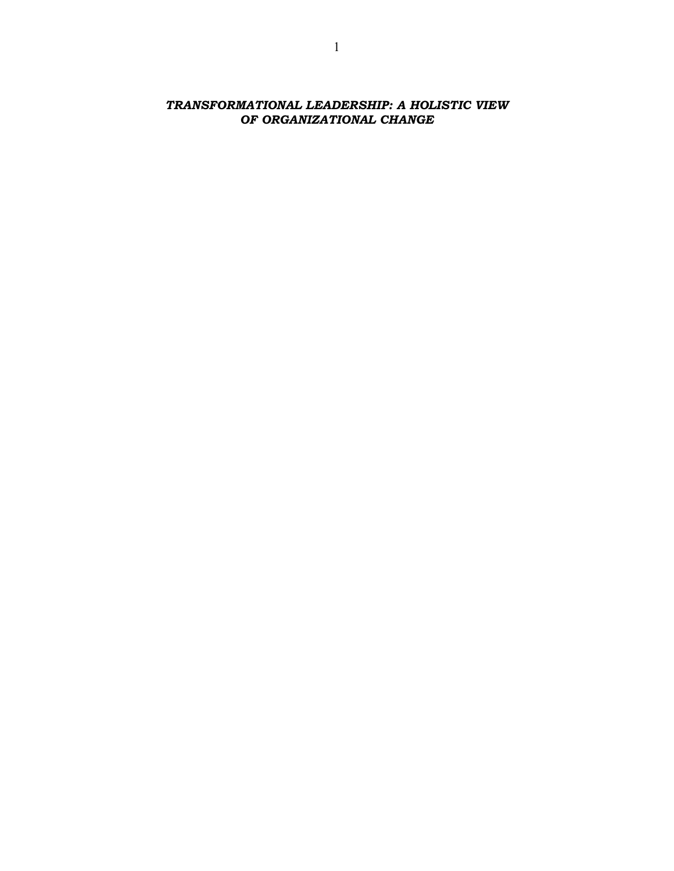TRANSFORMATIONAL LEADERSHIP: A HOLISTIC VIEW OF ORGANIZATIONAL CHANGE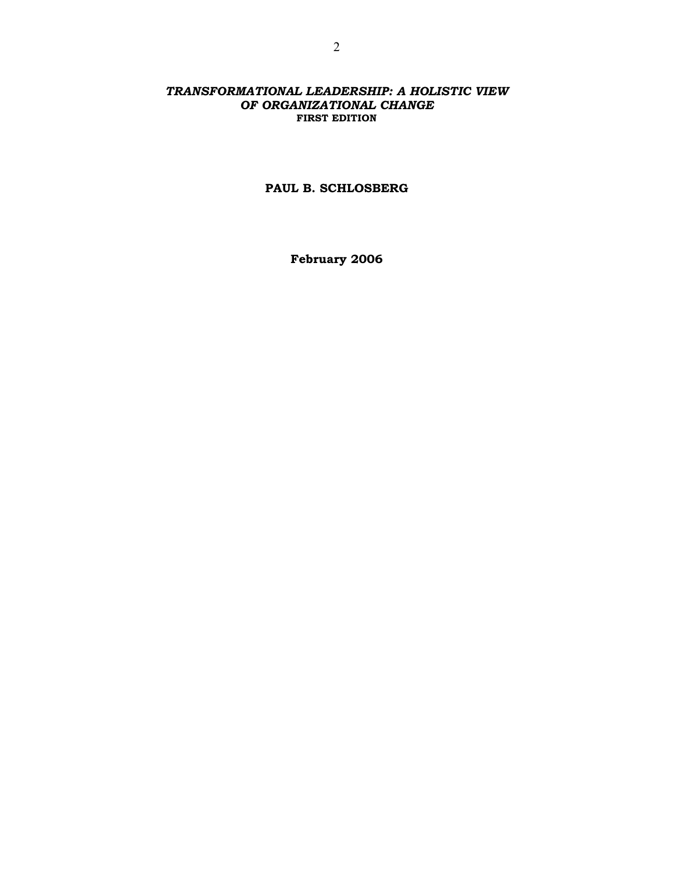## TRANSFORMATIONAL LEADERSHIP: A HOLISTIC VIEW OF ORGANIZATIONAL CHANGE FIRST EDITION

## PAUL B. SCHLOSBERG

February 2006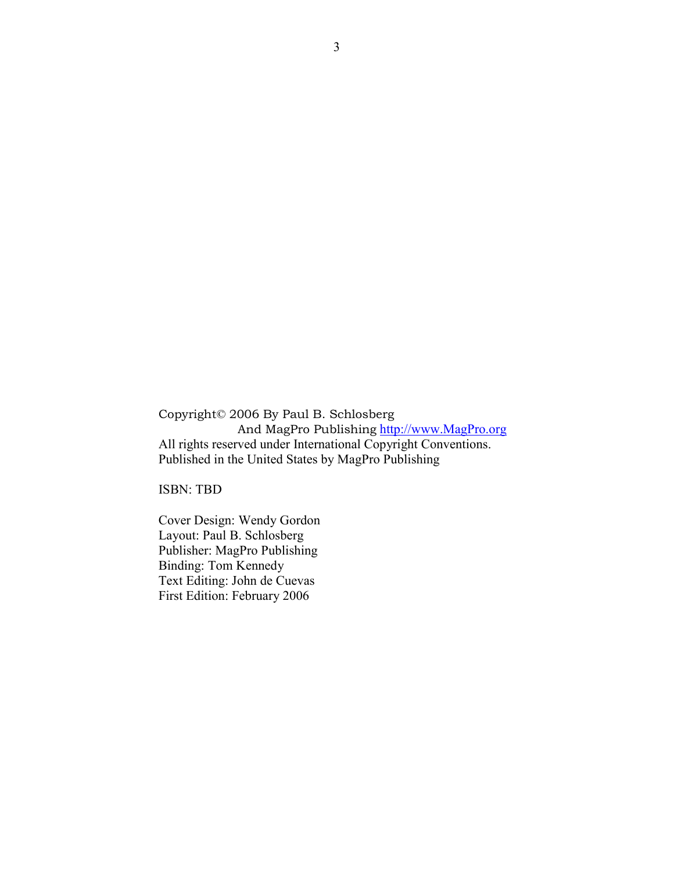Copyright© 2006 By Paul B. Schlosberg And MagPro Publishing http://www.MagPro.org All rights reserved under International Copyright Conventions. Published in the United States by MagPro Publishing

ISBN: TBD

Cover Design: Wendy Gordon Layout: Paul B. Schlosberg Publisher: MagPro Publishing Binding: Tom Kennedy Text Editing: John de Cuevas First Edition: February 2006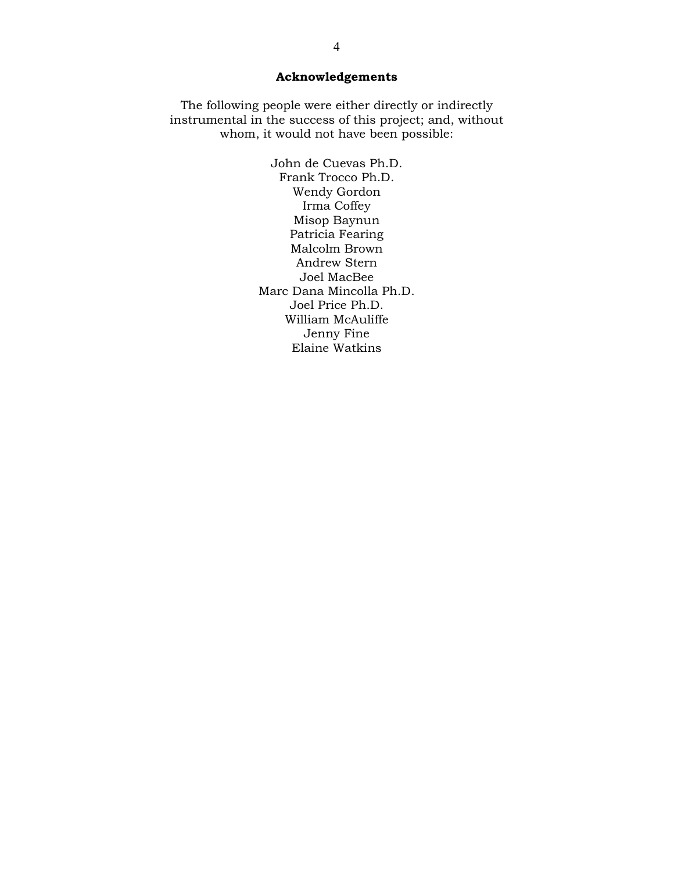# Acknowledgements

The following people were either directly or indirectly instrumental in the success of this project; and, without whom, it would not have been possible:

> John de Cuevas Ph.D. Frank Trocco Ph.D. Wendy Gordon Irma Coffey Misop Baynun Patricia Fearing Malcolm Brown Andrew Stern Joel MacBee Marc Dana Mincolla Ph.D. Joel Price Ph.D. William McAuliffe Jenny Fine Elaine Watkins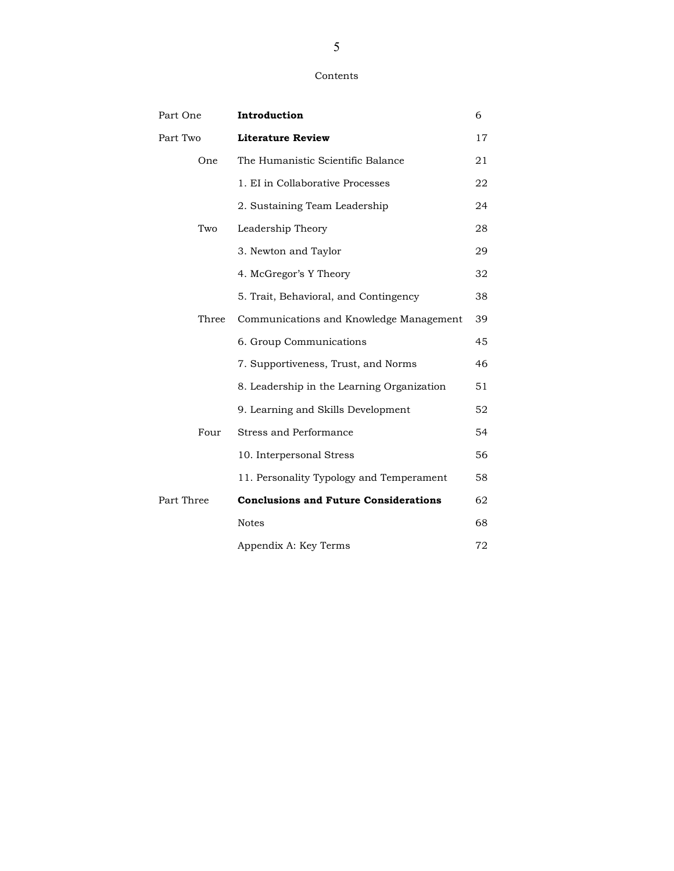#### Contents

| Part One   | Introduction                                 | 6  |
|------------|----------------------------------------------|----|
| Part Two   | <b>Literature Review</b>                     | 17 |
| One        | The Humanistic Scientific Balance            | 21 |
|            | 1. EI in Collaborative Processes             | 22 |
|            | 2. Sustaining Team Leadership                | 24 |
| Two        | Leadership Theory                            | 28 |
|            | 3. Newton and Taylor                         | 29 |
|            | 4. McGregor's Y Theory                       | 32 |
|            | 5. Trait, Behavioral, and Contingency        | 38 |
| Three      | Communications and Knowledge Management      | 39 |
|            | 6. Group Communications                      | 45 |
|            | 7. Supportiveness, Trust, and Norms          | 46 |
|            | 8. Leadership in the Learning Organization   | 51 |
|            | 9. Learning and Skills Development           | 52 |
| Four       | <b>Stress and Performance</b>                | 54 |
|            | 10. Interpersonal Stress                     | 56 |
|            | 11. Personality Typology and Temperament     | 58 |
| Part Three | <b>Conclusions and Future Considerations</b> | 62 |
|            | <b>Notes</b>                                 | 68 |
|            | Appendix A: Key Terms                        | 72 |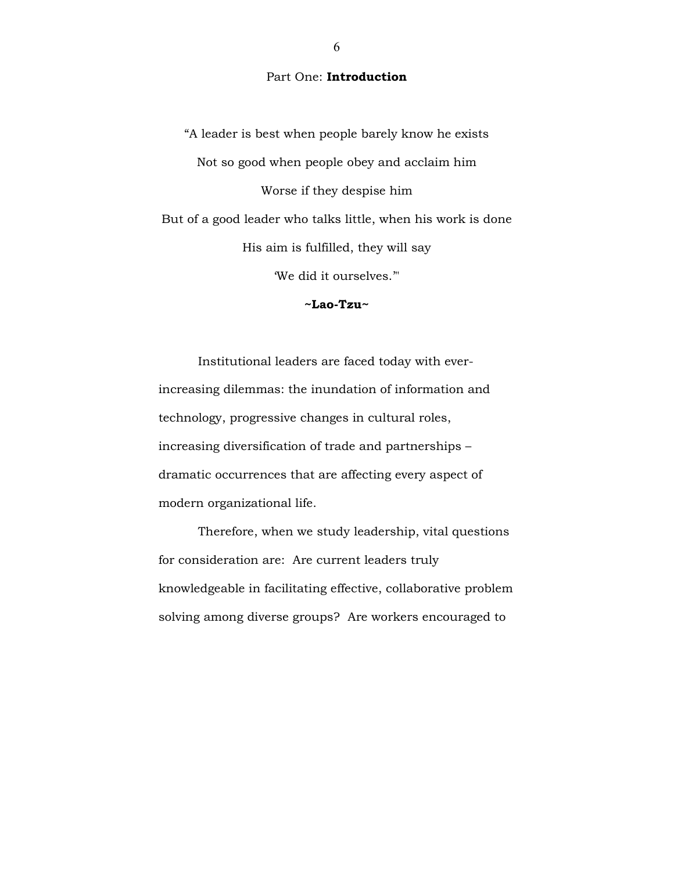## Part One: Introduction

"A leader is best when people barely know he exists Not so good when people obey and acclaim him Worse if they despise him But of a good leader who talks little, when his work is done His aim is fulfilled, they will say 'We did it ourselves.'"

~Lao-Tzu~

 Institutional leaders are faced today with everincreasing dilemmas: the inundation of information and technology, progressive changes in cultural roles, increasing diversification of trade and partnerships – dramatic occurrences that are affecting every aspect of modern organizational life.

 Therefore, when we study leadership, vital questions for consideration are: Are current leaders truly knowledgeable in facilitating effective, collaborative problem solving among diverse groups? Are workers encouraged to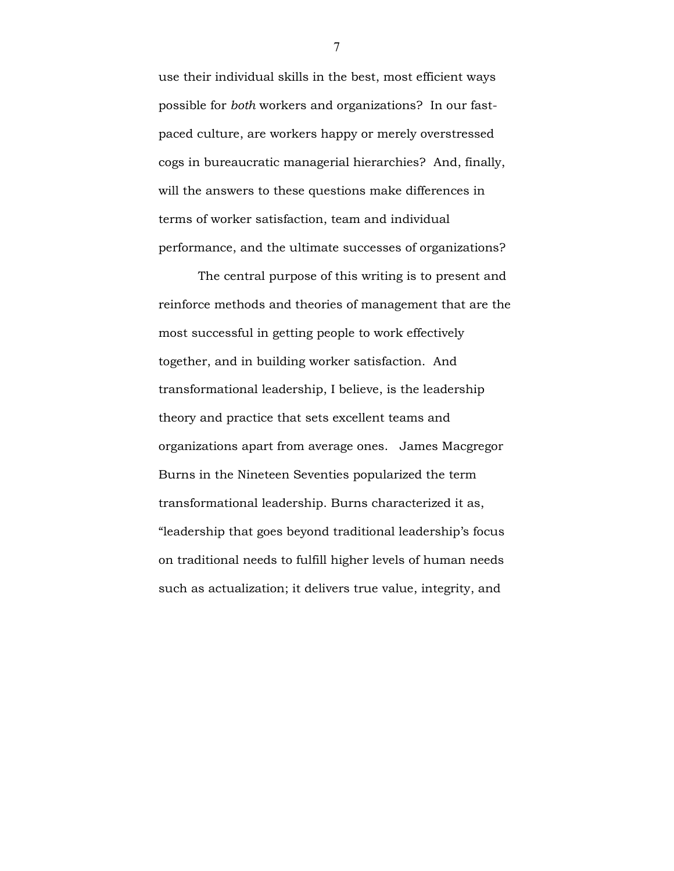use their individual skills in the best, most efficient ways possible for both workers and organizations? In our fastpaced culture, are workers happy or merely overstressed cogs in bureaucratic managerial hierarchies? And, finally, will the answers to these questions make differences in terms of worker satisfaction, team and individual performance, and the ultimate successes of organizations?

 The central purpose of this writing is to present and reinforce methods and theories of management that are the most successful in getting people to work effectively together, and in building worker satisfaction. And transformational leadership, I believe, is the leadership theory and practice that sets excellent teams and organizations apart from average ones. James Macgregor Burns in the Nineteen Seventies popularized the term transformational leadership. Burns characterized it as, "leadership that goes beyond traditional leadership's focus on traditional needs to fulfill higher levels of human needs such as actualization; it delivers true value, integrity, and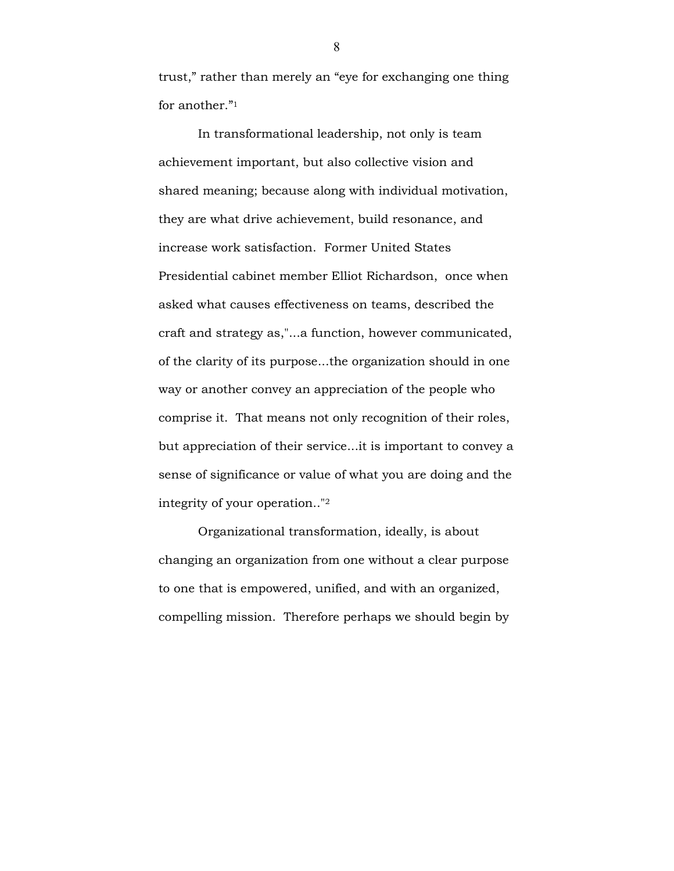trust," rather than merely an "eye for exchanging one thing for another."<sup>1</sup>

In transformational leadership, not only is team achievement important, but also collective vision and shared meaning; because along with individual motivation, they are what drive achievement, build resonance, and increase work satisfaction. Former United States Presidential cabinet member Elliot Richardson, once when asked what causes effectiveness on teams, described the craft and strategy as,"...a function, however communicated, of the clarity of its purpose...the organization should in one way or another convey an appreciation of the people who comprise it. That means not only recognition of their roles, but appreciation of their service...it is important to convey a sense of significance or value of what you are doing and the integrity of your operation.."<sup>2</sup>

Organizational transformation, ideally, is about changing an organization from one without a clear purpose to one that is empowered, unified, and with an organized, compelling mission. Therefore perhaps we should begin by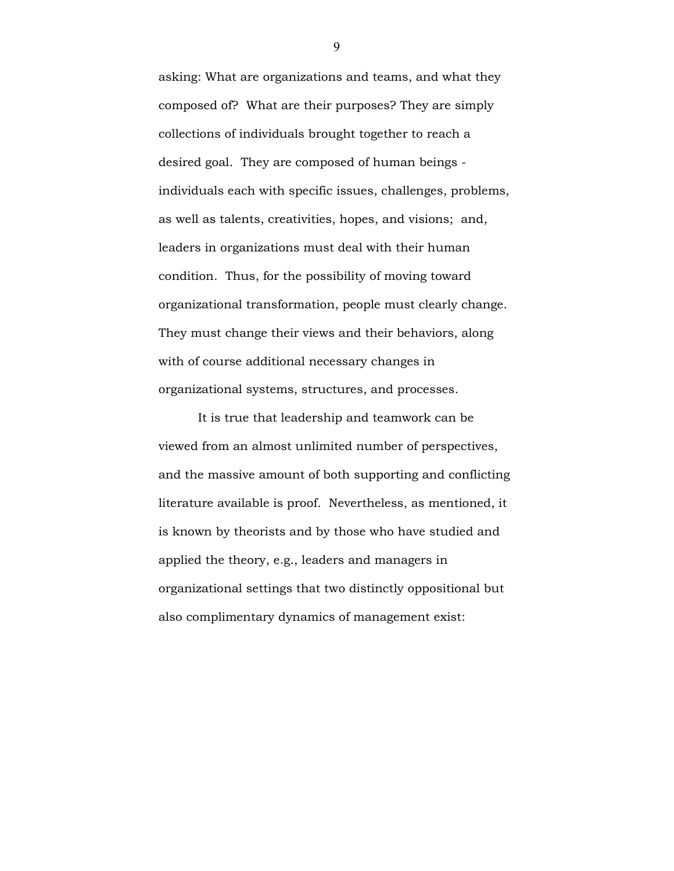asking: What are organizations and teams, and what they composed of? What are their purposes? They are simply collections of individuals brought together to reach a desired goal. They are composed of human beings individuals each with specific issues, challenges, problems, as well as talents, creativities, hopes, and visions; and, leaders in organizations must deal with their human condition. Thus, for the possibility of moving toward organizational transformation, people must clearly change. They must change their views and their behaviors, along with of course additional necessary changes in organizational systems, structures, and processes.

It is true that leadership and teamwork can be viewed from an almost unlimited number of perspectives, and the massive amount of both supporting and conflicting literature available is proof. Nevertheless, as mentioned, it is known by theorists and by those who have studied and applied the theory, e.g., leaders and managers in organizational settings that two distinctly oppositional but also complimentary dynamics of management exist: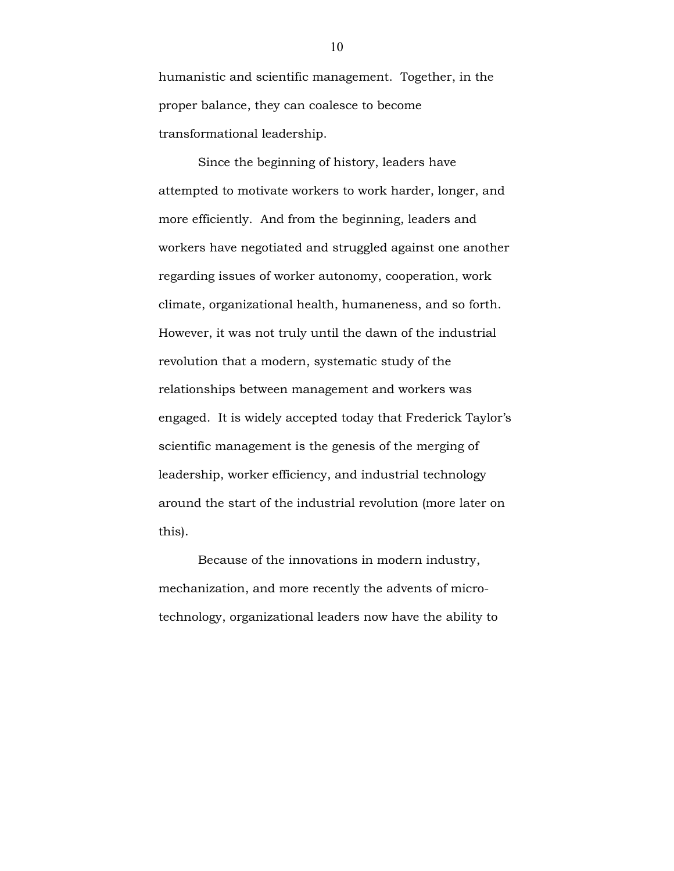humanistic and scientific management. Together, in the proper balance, they can coalesce to become transformational leadership.

Since the beginning of history, leaders have attempted to motivate workers to work harder, longer, and more efficiently. And from the beginning, leaders and workers have negotiated and struggled against one another regarding issues of worker autonomy, cooperation, work climate, organizational health, humaneness, and so forth. However, it was not truly until the dawn of the industrial revolution that a modern, systematic study of the relationships between management and workers was engaged. It is widely accepted today that Frederick Taylor's scientific management is the genesis of the merging of leadership, worker efficiency, and industrial technology around the start of the industrial revolution (more later on this).

Because of the innovations in modern industry, mechanization, and more recently the advents of microtechnology, organizational leaders now have the ability to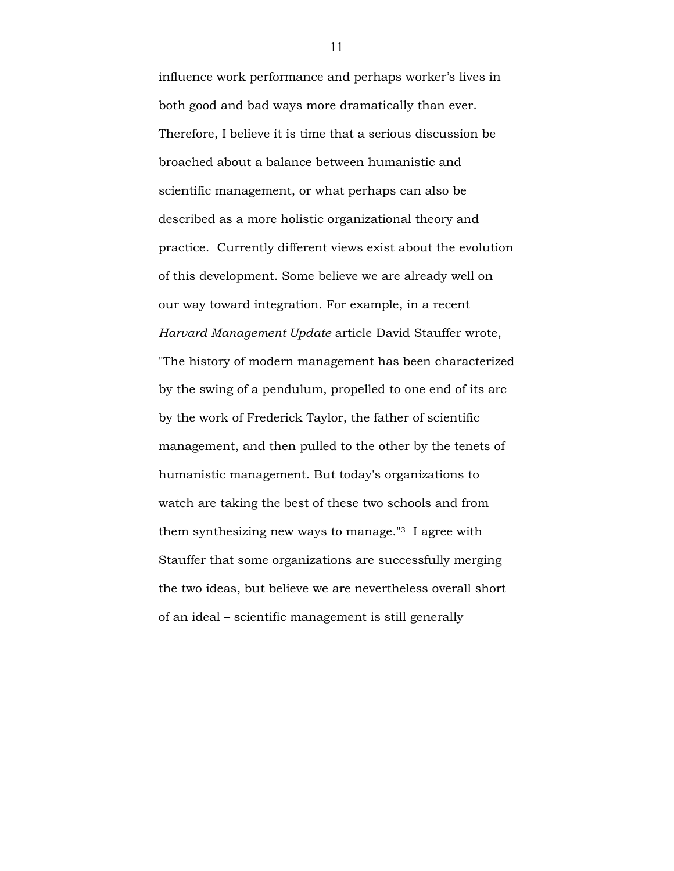influence work performance and perhaps worker's lives in both good and bad ways more dramatically than ever. Therefore, I believe it is time that a serious discussion be broached about a balance between humanistic and scientific management, or what perhaps can also be described as a more holistic organizational theory and practice. Currently different views exist about the evolution of this development. Some believe we are already well on our way toward integration. For example, in a recent Harvard Management Update article David Stauffer wrote, "The history of modern management has been characterized by the swing of a pendulum, propelled to one end of its arc by the work of Frederick Taylor, the father of scientific management, and then pulled to the other by the tenets of humanistic management. But today's organizations to watch are taking the best of these two schools and from them synthesizing new ways to manage."3 I agree with Stauffer that some organizations are successfully merging the two ideas, but believe we are nevertheless overall short of an ideal – scientific management is still generally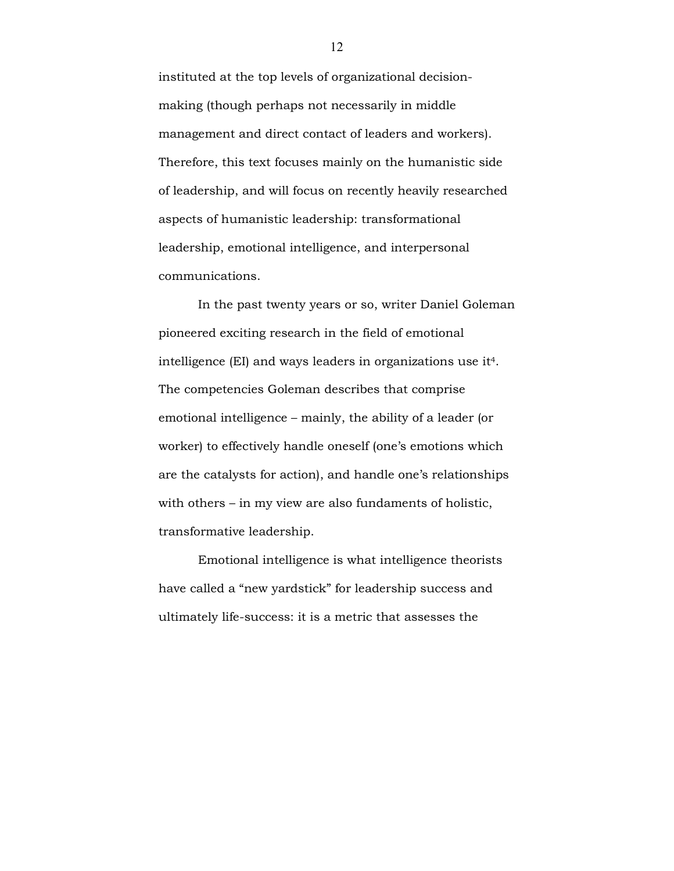instituted at the top levels of organizational decisionmaking (though perhaps not necessarily in middle management and direct contact of leaders and workers). Therefore, this text focuses mainly on the humanistic side of leadership, and will focus on recently heavily researched aspects of humanistic leadership: transformational leadership, emotional intelligence, and interpersonal communications.

 In the past twenty years or so, writer Daniel Goleman pioneered exciting research in the field of emotional intelligence (EI) and ways leaders in organizations use it4. The competencies Goleman describes that comprise emotional intelligence – mainly, the ability of a leader (or worker) to effectively handle oneself (one's emotions which are the catalysts for action), and handle one's relationships with others – in my view are also fundaments of holistic, transformative leadership.

 Emotional intelligence is what intelligence theorists have called a "new yardstick" for leadership success and ultimately life-success: it is a metric that assesses the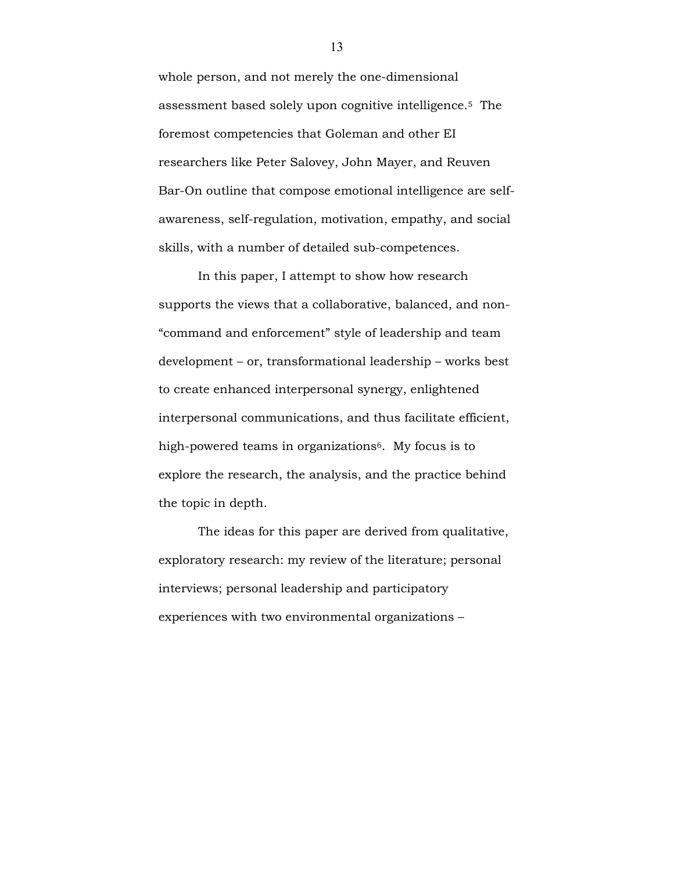whole person, and not merely the one-dimensional assessment based solely upon cognitive intelligence. <sup>5</sup> The foremost competencies that Goleman and other EI researchers like Peter Salovey, John Mayer, and Reuven Bar-On outline that compose emotional intelligence are selfawareness, self-regulation, motivation, empathy, and social skills, with a number of detailed sub-competences.

In this paper, I attempt to show how research supports the views that a collaborative, balanced, and non- "command and enforcement" style of leadership and team development – or, transformational leadership – works best to create enhanced interpersonal synergy, enlightened interpersonal communications, and thus facilitate efficient, high-powered teams in organizations<sup>6</sup>. My focus is to explore the research, the analysis, and the practice behind the topic in depth.

The ideas for this paper are derived from qualitative, exploratory research: my review of the literature; personal interviews; personal leadership and participatory experiences with two environmental organizations –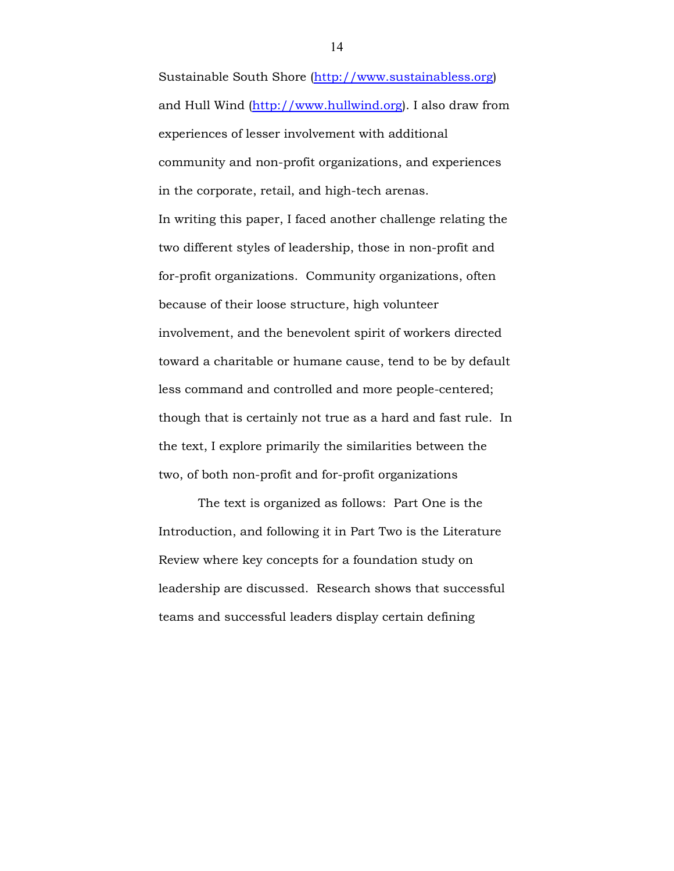Sustainable South Shore (http://www.sustainabless.org) and Hull Wind (http://www.hullwind.org). I also draw from experiences of lesser involvement with additional community and non-profit organizations, and experiences in the corporate, retail, and high-tech arenas. In writing this paper, I faced another challenge relating the two different styles of leadership, those in non-profit and for-profit organizations. Community organizations, often because of their loose structure, high volunteer involvement, and the benevolent spirit of workers directed toward a charitable or humane cause, tend to be by default less command and controlled and more people-centered; though that is certainly not true as a hard and fast rule. In the text, I explore primarily the similarities between the two, of both non-profit and for-profit organizations

The text is organized as follows: Part One is the Introduction, and following it in Part Two is the Literature Review where key concepts for a foundation study on leadership are discussed. Research shows that successful teams and successful leaders display certain defining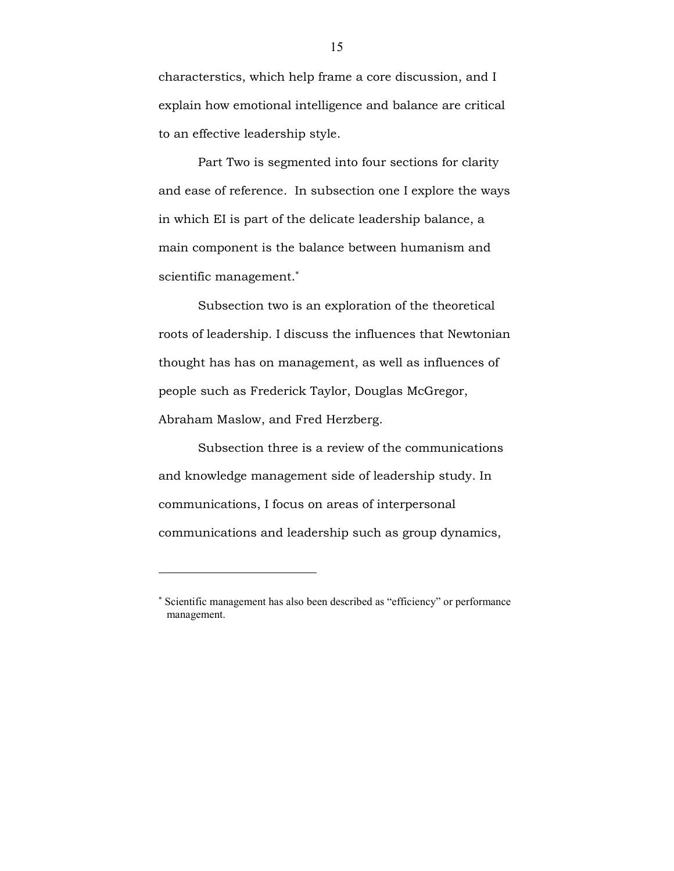characterstics, which help frame a core discussion, and I explain how emotional intelligence and balance are critical to an effective leadership style.

Part Two is segmented into four sections for clarity and ease of reference. In subsection one I explore the ways in which EI is part of the delicate leadership balance, a main component is the balance between humanism and scientific management.<sup>∗</sup>

Subsection two is an exploration of the theoretical roots of leadership. I discuss the influences that Newtonian thought has has on management, as well as influences of people such as Frederick Taylor, Douglas McGregor, Abraham Maslow, and Fred Herzberg.

Subsection three is a review of the communications and knowledge management side of leadership study. In communications, I focus on areas of interpersonal communications and leadership such as group dynamics,

 $\overline{a}$ 

<sup>∗</sup> Scientific management has also been described as "efficiency" or performance management.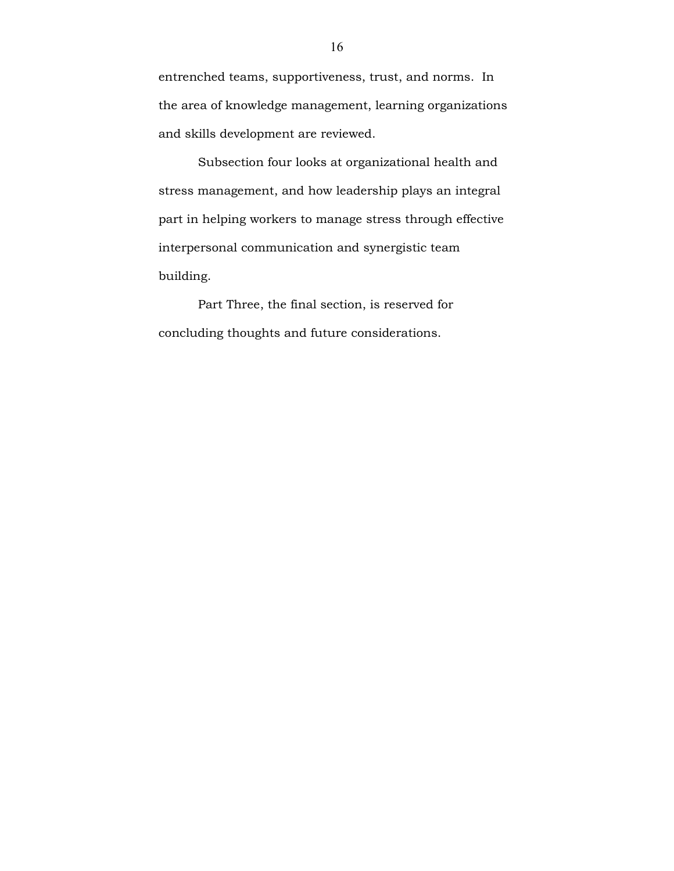entrenched teams, supportiveness, trust, and norms. In the area of knowledge management, learning organizations and skills development are reviewed.

Subsection four looks at organizational health and stress management, and how leadership plays an integral part in helping workers to manage stress through effective interpersonal communication and synergistic team building.

Part Three, the final section, is reserved for concluding thoughts and future considerations.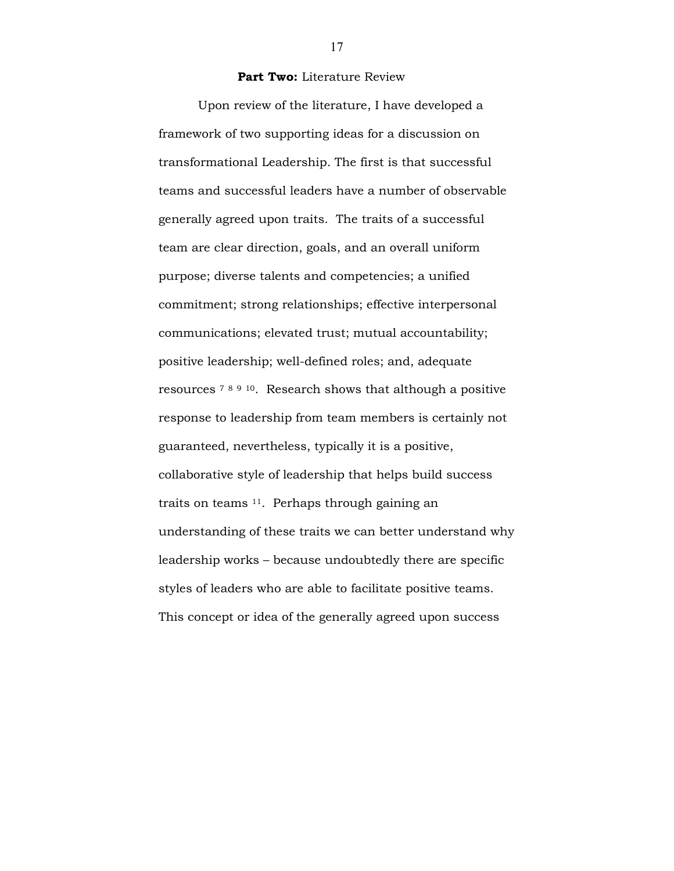#### Part Two: Literature Review

 Upon review of the literature, I have developed a framework of two supporting ideas for a discussion on transformational Leadership. The first is that successful teams and successful leaders have a number of observable generally agreed upon traits. The traits of a successful team are clear direction, goals, and an overall uniform purpose; diverse talents and competencies; a unified commitment; strong relationships; effective interpersonal communications; elevated trust; mutual accountability; positive leadership; well-defined roles; and, adequate resources <sup>7</sup> <sup>8</sup> <sup>9</sup> <sup>10</sup>. Research shows that although a positive response to leadership from team members is certainly not guaranteed, nevertheless, typically it is a positive, collaborative style of leadership that helps build success traits on teams 11. Perhaps through gaining an understanding of these traits we can better understand why leadership works – because undoubtedly there are specific styles of leaders who are able to facilitate positive teams. This concept or idea of the generally agreed upon success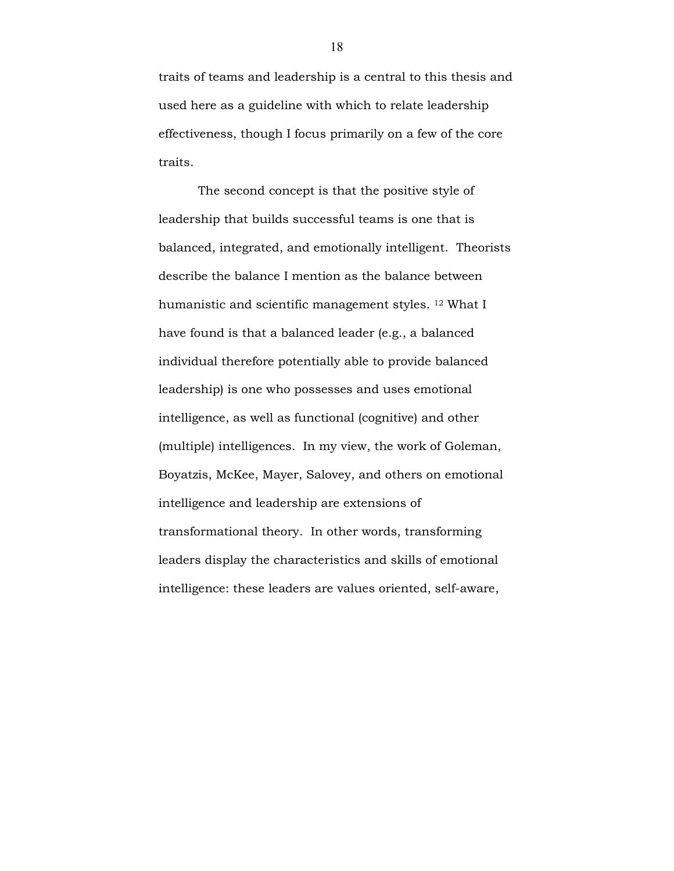traits of teams and leadership is a central to this thesis and used here as a guideline with which to relate leadership effectiveness, though I focus primarily on a few of the core traits.

 The second concept is that the positive style of leadership that builds successful teams is one that is balanced, integrated, and emotionally intelligent. Theorists describe the balance I mention as the balance between humanistic and scientific management styles. 12 What I have found is that a balanced leader (e.g., a balanced individual therefore potentially able to provide balanced leadership) is one who possesses and uses emotional intelligence, as well as functional (cognitive) and other (multiple) intelligences. In my view, the work of Goleman, Boyatzis, McKee, Mayer, Salovey, and others on emotional intelligence and leadership are extensions of transformational theory. In other words, transforming leaders display the characteristics and skills of emotional intelligence: these leaders are values oriented, self-aware,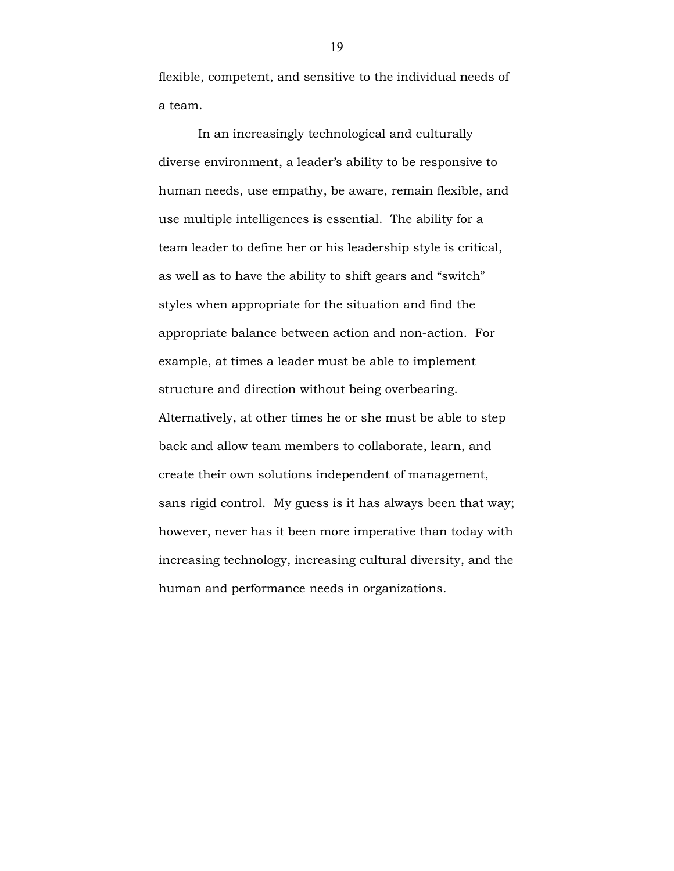flexible, competent, and sensitive to the individual needs of a team.

In an increasingly technological and culturally diverse environment, a leader's ability to be responsive to human needs, use empathy, be aware, remain flexible, and use multiple intelligences is essential. The ability for a team leader to define her or his leadership style is critical, as well as to have the ability to shift gears and "switch" styles when appropriate for the situation and find the appropriate balance between action and non-action. For example, at times a leader must be able to implement structure and direction without being overbearing. Alternatively, at other times he or she must be able to step back and allow team members to collaborate, learn, and create their own solutions independent of management, sans rigid control. My guess is it has always been that way; however, never has it been more imperative than today with increasing technology, increasing cultural diversity, and the human and performance needs in organizations.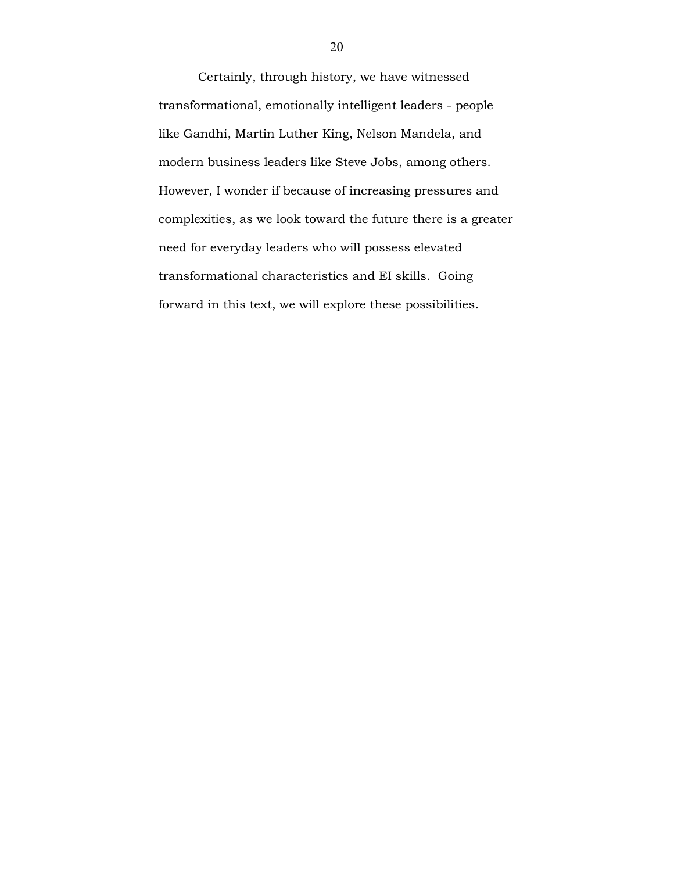Certainly, through history, we have witnessed transformational, emotionally intelligent leaders - people like Gandhi, Martin Luther King, Nelson Mandela, and modern business leaders like Steve Jobs, among others. However, I wonder if because of increasing pressures and complexities, as we look toward the future there is a greater need for everyday leaders who will possess elevated transformational characteristics and EI skills. Going forward in this text, we will explore these possibilities.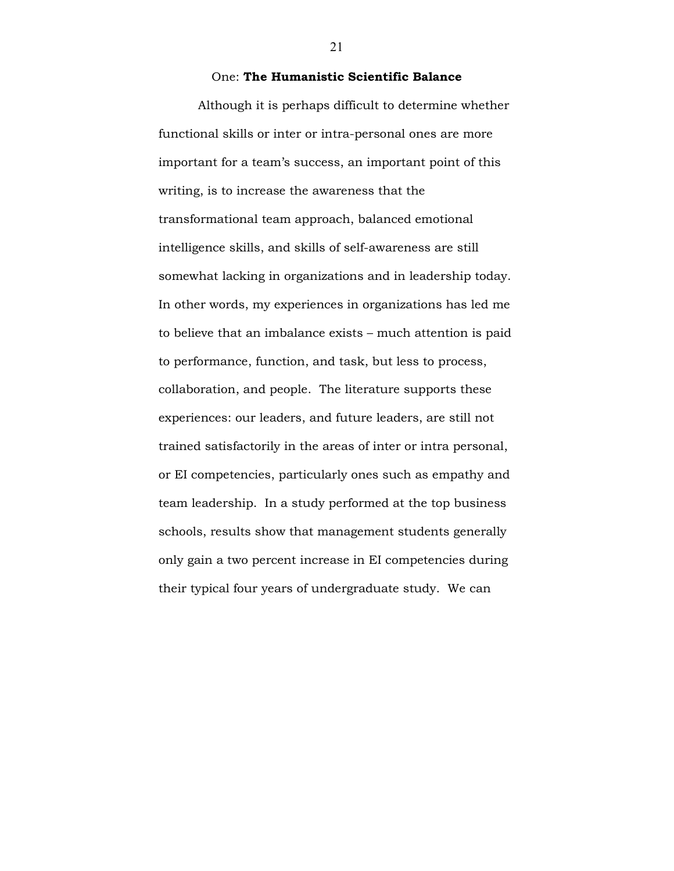## One: The Humanistic Scientific Balance

Although it is perhaps difficult to determine whether functional skills or inter or intra-personal ones are more important for a team's success, an important point of this writing, is to increase the awareness that the transformational team approach, balanced emotional intelligence skills, and skills of self-awareness are still somewhat lacking in organizations and in leadership today. In other words, my experiences in organizations has led me to believe that an imbalance exists – much attention is paid to performance, function, and task, but less to process, collaboration, and people. The literature supports these experiences: our leaders, and future leaders, are still not trained satisfactorily in the areas of inter or intra personal, or EI competencies, particularly ones such as empathy and team leadership. In a study performed at the top business schools, results show that management students generally only gain a two percent increase in EI competencies during their typical four years of undergraduate study. We can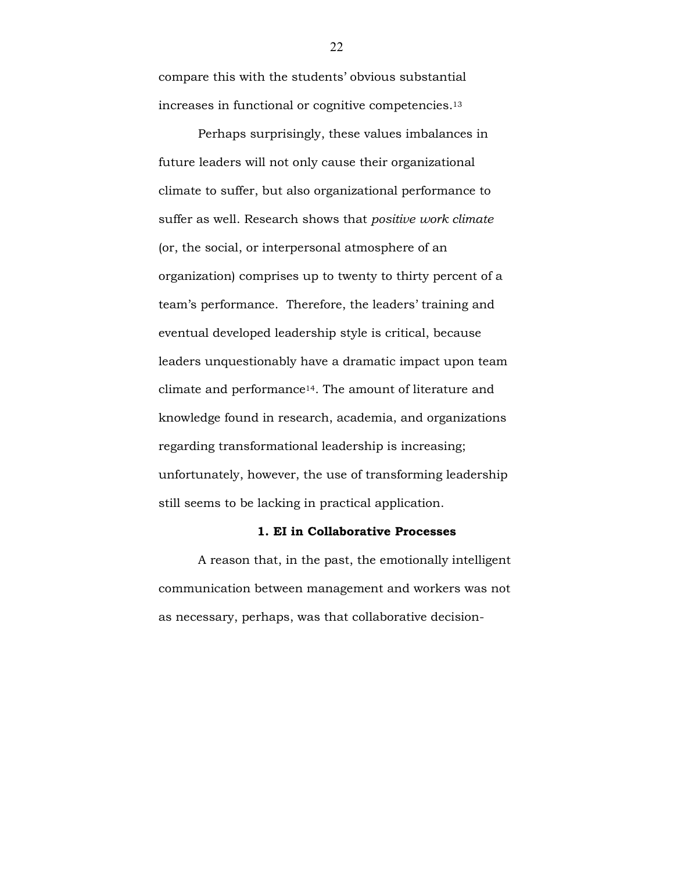compare this with the students' obvious substantial increases in functional or cognitive competencies.<sup>13</sup>

Perhaps surprisingly, these values imbalances in future leaders will not only cause their organizational climate to suffer, but also organizational performance to suffer as well. Research shows that *positive work climate* (or, the social, or interpersonal atmosphere of an organization) comprises up to twenty to thirty percent of a team's performance. Therefore, the leaders' training and eventual developed leadership style is critical, because leaders unquestionably have a dramatic impact upon team climate and performance14. The amount of literature and knowledge found in research, academia, and organizations regarding transformational leadership is increasing; unfortunately, however, the use of transforming leadership still seems to be lacking in practical application.

#### 1. EI in Collaborative Processes

A reason that, in the past, the emotionally intelligent communication between management and workers was not as necessary, perhaps, was that collaborative decision-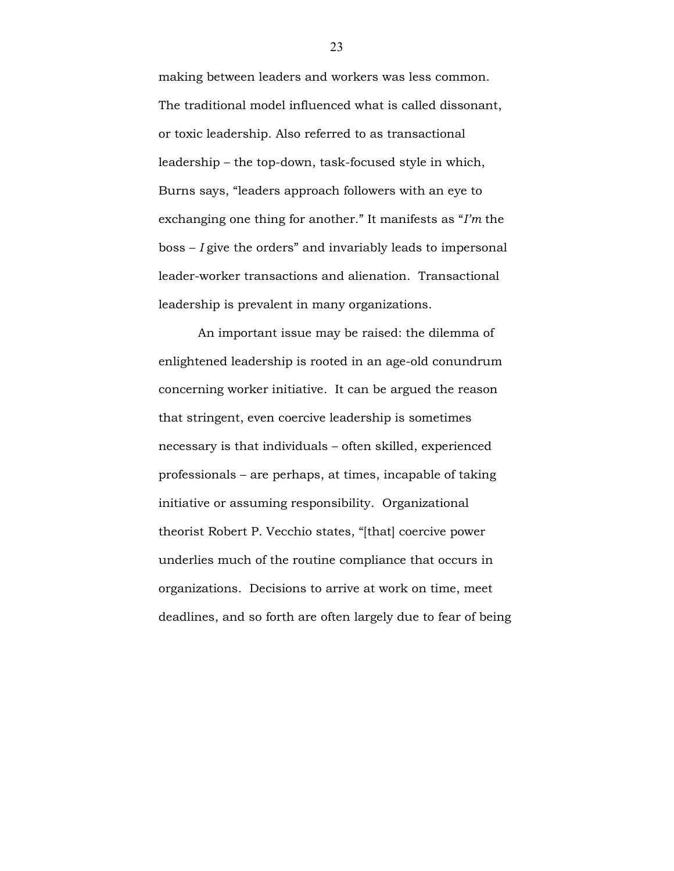making between leaders and workers was less common. The traditional model influenced what is called dissonant, or toxic leadership. Also referred to as transactional leadership – the top-down, task-focused style in which, Burns says, "leaders approach followers with an eye to exchanging one thing for another." It manifests as "I'm the  $b$ oss  $-I$  give the orders" and invariably leads to impersonal leader-worker transactions and alienation. Transactional leadership is prevalent in many organizations.

An important issue may be raised: the dilemma of enlightened leadership is rooted in an age-old conundrum concerning worker initiative. It can be argued the reason that stringent, even coercive leadership is sometimes necessary is that individuals – often skilled, experienced professionals – are perhaps, at times, incapable of taking initiative or assuming responsibility. Organizational theorist Robert P. Vecchio states, "[that] coercive power underlies much of the routine compliance that occurs in organizations. Decisions to arrive at work on time, meet deadlines, and so forth are often largely due to fear of being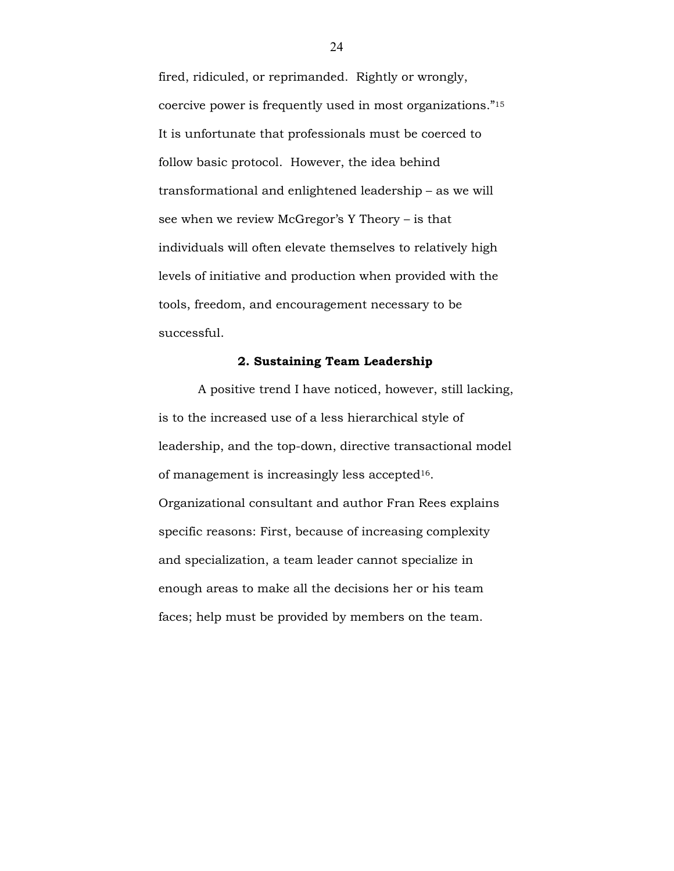fired, ridiculed, or reprimanded. Rightly or wrongly, coercive power is frequently used in most organizations."<sup>15</sup> It is unfortunate that professionals must be coerced to follow basic protocol. However, the idea behind transformational and enlightened leadership – as we will see when we review McGregor's Y Theory – is that individuals will often elevate themselves to relatively high levels of initiative and production when provided with the tools, freedom, and encouragement necessary to be successful.

#### 2. Sustaining Team Leadership

A positive trend I have noticed, however, still lacking, is to the increased use of a less hierarchical style of leadership, and the top-down, directive transactional model of management is increasingly less accepted16. Organizational consultant and author Fran Rees explains specific reasons: First, because of increasing complexity and specialization, a team leader cannot specialize in enough areas to make all the decisions her or his team faces; help must be provided by members on the team.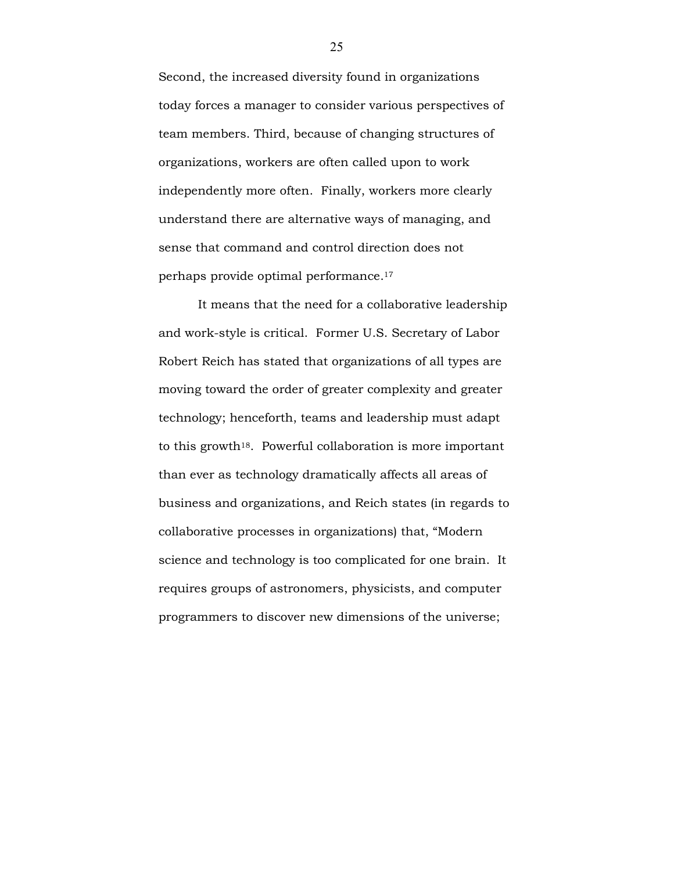Second, the increased diversity found in organizations today forces a manager to consider various perspectives of team members. Third, because of changing structures of organizations, workers are often called upon to work independently more often. Finally, workers more clearly understand there are alternative ways of managing, and sense that command and control direction does not perhaps provide optimal performance.<sup>17</sup>

It means that the need for a collaborative leadership and work-style is critical. Former U.S. Secretary of Labor Robert Reich has stated that organizations of all types are moving toward the order of greater complexity and greater technology; henceforth, teams and leadership must adapt to this growth18. Powerful collaboration is more important than ever as technology dramatically affects all areas of business and organizations, and Reich states (in regards to collaborative processes in organizations) that, "Modern science and technology is too complicated for one brain. It requires groups of astronomers, physicists, and computer programmers to discover new dimensions of the universe;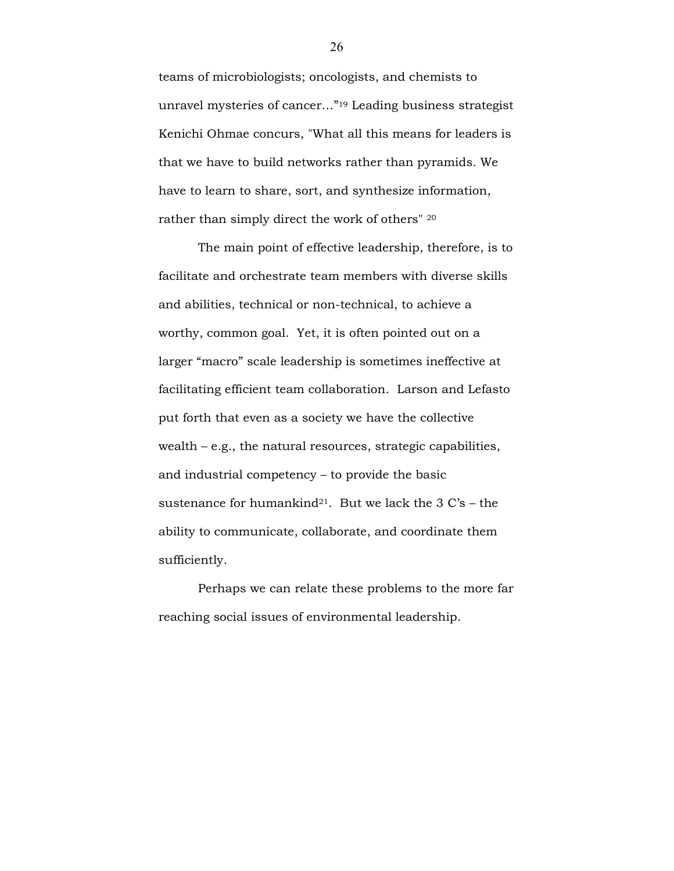teams of microbiologists; oncologists, and chemists to unravel mysteries of cancer…"19 Leading business strategist Kenichi Ohmae concurs, "What all this means for leaders is that we have to build networks rather than pyramids. We have to learn to share, sort, and synthesize information, rather than simply direct the work of others" <sup>20</sup>

The main point of effective leadership, therefore, is to facilitate and orchestrate team members with diverse skills and abilities, technical or non-technical, to achieve a worthy, common goal. Yet, it is often pointed out on a larger "macro" scale leadership is sometimes ineffective at facilitating efficient team collaboration. Larson and Lefasto put forth that even as a society we have the collective wealth – e.g., the natural resources, strategic capabilities, and industrial competency – to provide the basic sustenance for humankind<sup>21</sup>. But we lack the  $3 \text{ C's}$  – the ability to communicate, collaborate, and coordinate them sufficiently.

Perhaps we can relate these problems to the more far reaching social issues of environmental leadership.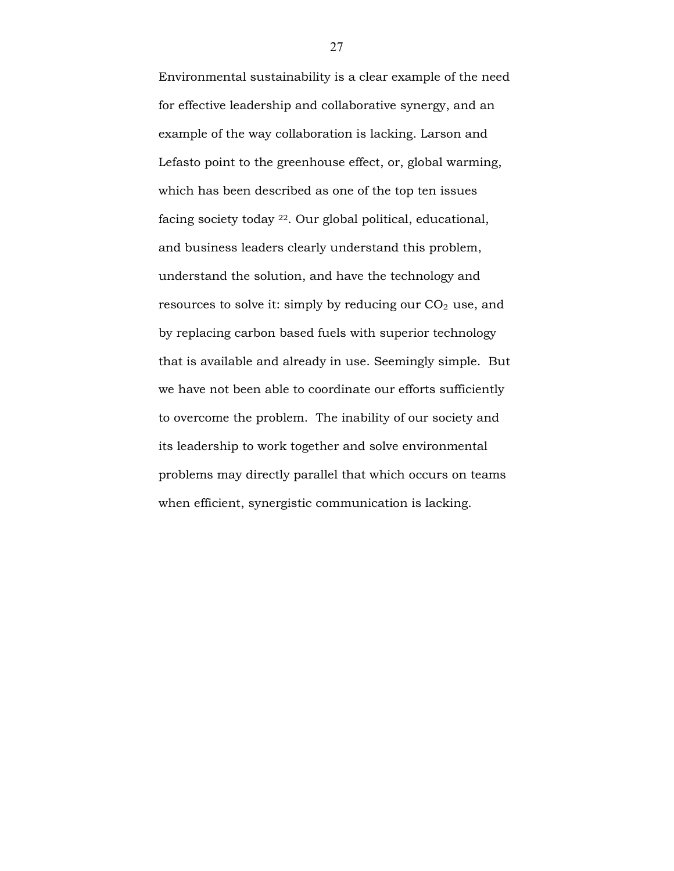Environmental sustainability is a clear example of the need for effective leadership and collaborative synergy, and an example of the way collaboration is lacking. Larson and Lefasto point to the greenhouse effect, or, global warming, which has been described as one of the top ten issues facing society today 22. Our global political, educational, and business leaders clearly understand this problem, understand the solution, and have the technology and resources to solve it: simply by reducing our  $CO<sub>2</sub>$  use, and by replacing carbon based fuels with superior technology that is available and already in use. Seemingly simple. But we have not been able to coordinate our efforts sufficiently to overcome the problem. The inability of our society and its leadership to work together and solve environmental problems may directly parallel that which occurs on teams when efficient, synergistic communication is lacking.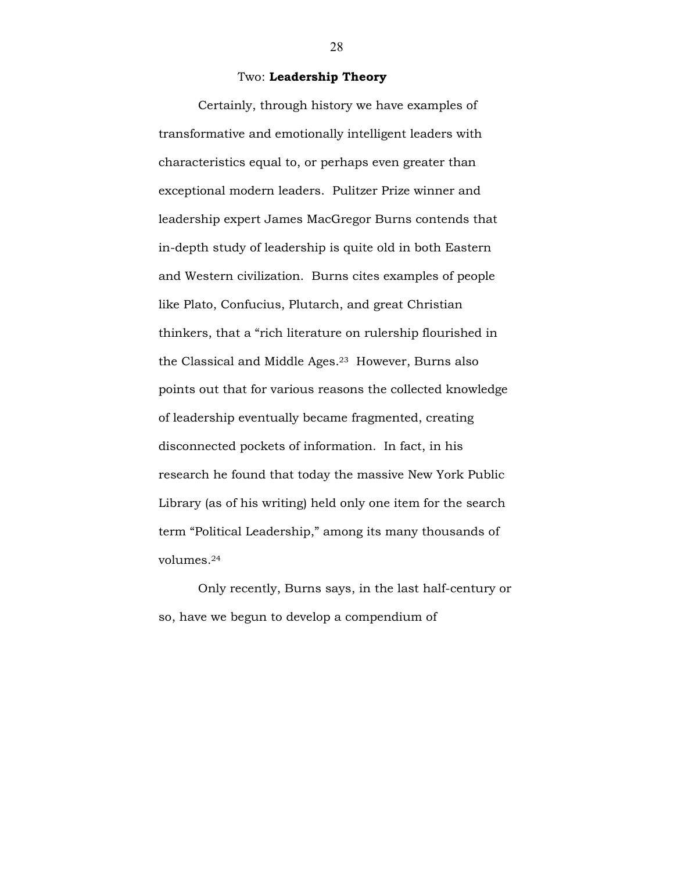#### Two: Leadership Theory

Certainly, through history we have examples of transformative and emotionally intelligent leaders with characteristics equal to, or perhaps even greater than exceptional modern leaders. Pulitzer Prize winner and leadership expert James MacGregor Burns contends that in-depth study of leadership is quite old in both Eastern and Western civilization. Burns cites examples of people like Plato, Confucius, Plutarch, and great Christian thinkers, that a "rich literature on rulership flourished in the Classical and Middle Ages.23 However, Burns also points out that for various reasons the collected knowledge of leadership eventually became fragmented, creating disconnected pockets of information. In fact, in his research he found that today the massive New York Public Library (as of his writing) held only one item for the search term "Political Leadership," among its many thousands of volumes.<sup>24</sup>

Only recently, Burns says, in the last half-century or so, have we begun to develop a compendium of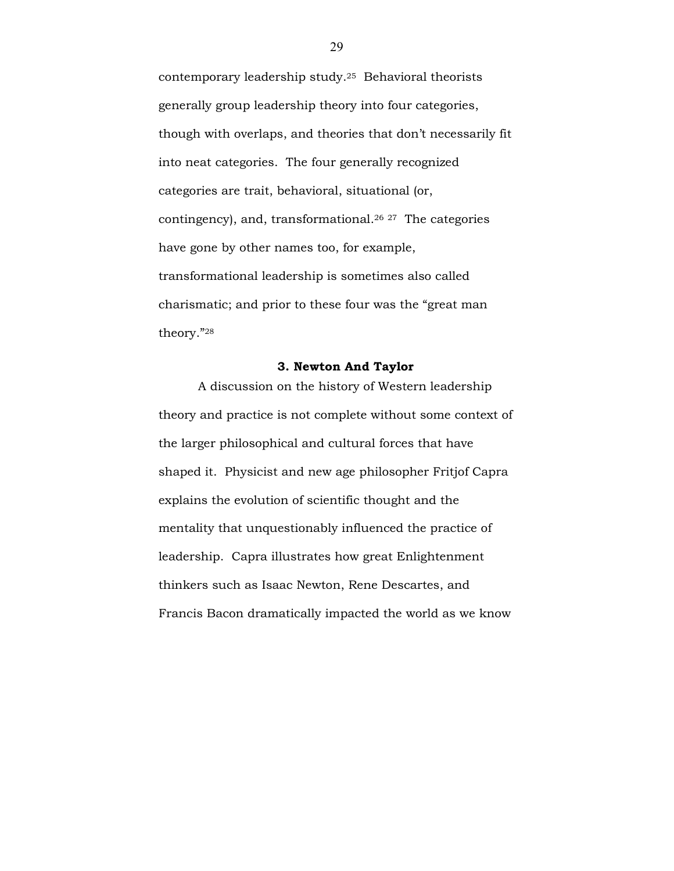contemporary leadership study.25 Behavioral theorists generally group leadership theory into four categories, though with overlaps, and theories that don't necessarily fit into neat categories. The four generally recognized categories are trait, behavioral, situational (or, contingency), and, transformational.<sup>26</sup> <sup>27</sup> The categories have gone by other names too, for example, transformational leadership is sometimes also called charismatic; and prior to these four was the "great man theory."<sup>28</sup>

## 3. Newton And Taylor

A discussion on the history of Western leadership theory and practice is not complete without some context of the larger philosophical and cultural forces that have shaped it. Physicist and new age philosopher Fritjof Capra explains the evolution of scientific thought and the mentality that unquestionably influenced the practice of leadership. Capra illustrates how great Enlightenment thinkers such as Isaac Newton, Rene Descartes, and Francis Bacon dramatically impacted the world as we know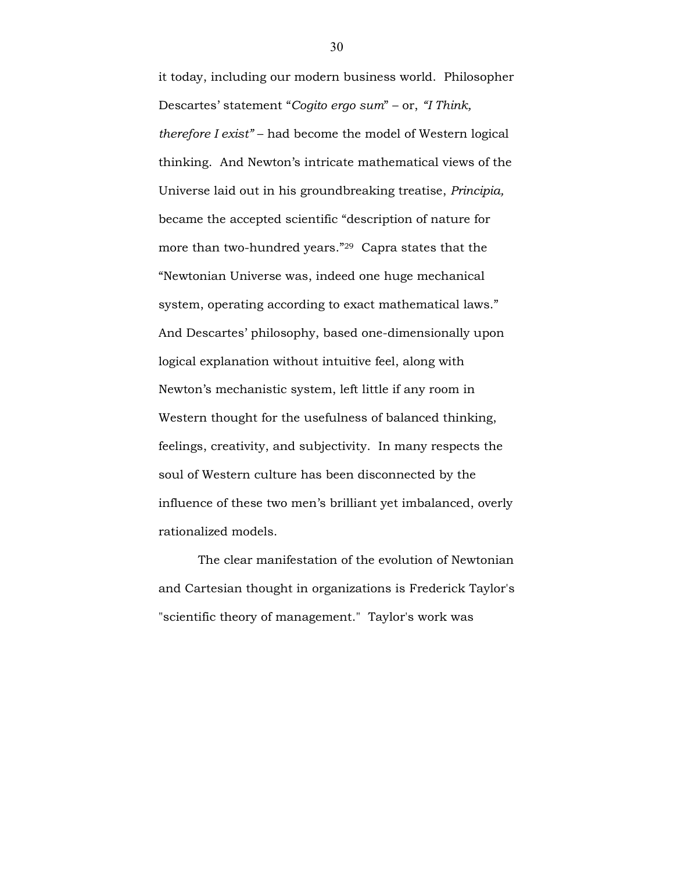it today, including our modern business world. Philosopher Descartes' statement "Cogito ergo sum" – or, "I Think, therefore I exist" – had become the model of Western logical thinking. And Newton's intricate mathematical views of the Universe laid out in his groundbreaking treatise, Principia, became the accepted scientific "description of nature for more than two-hundred years."29 Capra states that the "Newtonian Universe was, indeed one huge mechanical system, operating according to exact mathematical laws." And Descartes' philosophy, based one-dimensionally upon logical explanation without intuitive feel, along with Newton's mechanistic system, left little if any room in Western thought for the usefulness of balanced thinking, feelings, creativity, and subjectivity. In many respects the soul of Western culture has been disconnected by the influence of these two men's brilliant yet imbalanced, overly rationalized models.

The clear manifestation of the evolution of Newtonian and Cartesian thought in organizations is Frederick Taylor's "scientific theory of management." Taylor's work was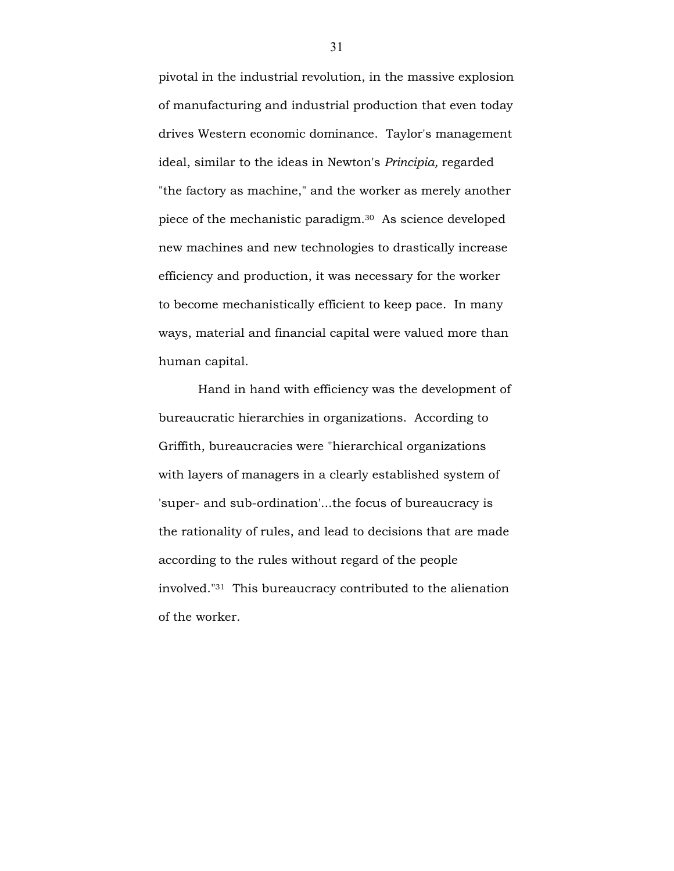pivotal in the industrial revolution, in the massive explosion of manufacturing and industrial production that even today drives Western economic dominance. Taylor's management ideal, similar to the ideas in Newton's Principia, regarded "the factory as machine," and the worker as merely another piece of the mechanistic paradigm.30 As science developed new machines and new technologies to drastically increase efficiency and production, it was necessary for the worker to become mechanistically efficient to keep pace. In many ways, material and financial capital were valued more than human capital.

Hand in hand with efficiency was the development of bureaucratic hierarchies in organizations. According to Griffith, bureaucracies were "hierarchical organizations with layers of managers in a clearly established system of 'super- and sub-ordination'...the focus of bureaucracy is the rationality of rules, and lead to decisions that are made according to the rules without regard of the people involved."31 This bureaucracy contributed to the alienation of the worker.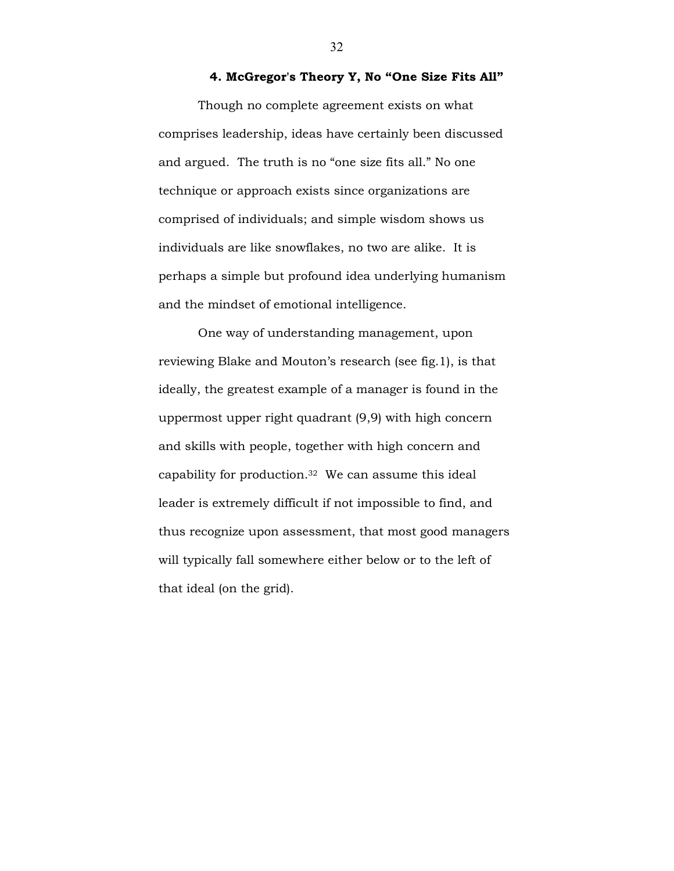## 4. McGregor's Theory Y, No "One Size Fits All"

Though no complete agreement exists on what comprises leadership, ideas have certainly been discussed and argued. The truth is no "one size fits all." No one technique or approach exists since organizations are comprised of individuals; and simple wisdom shows us individuals are like snowflakes, no two are alike. It is perhaps a simple but profound idea underlying humanism and the mindset of emotional intelligence.

One way of understanding management, upon reviewing Blake and Mouton's research (see fig.1), is that ideally, the greatest example of a manager is found in the uppermost upper right quadrant (9,9) with high concern and skills with people, together with high concern and capability for production.32 We can assume this ideal leader is extremely difficult if not impossible to find, and thus recognize upon assessment, that most good managers will typically fall somewhere either below or to the left of that ideal (on the grid).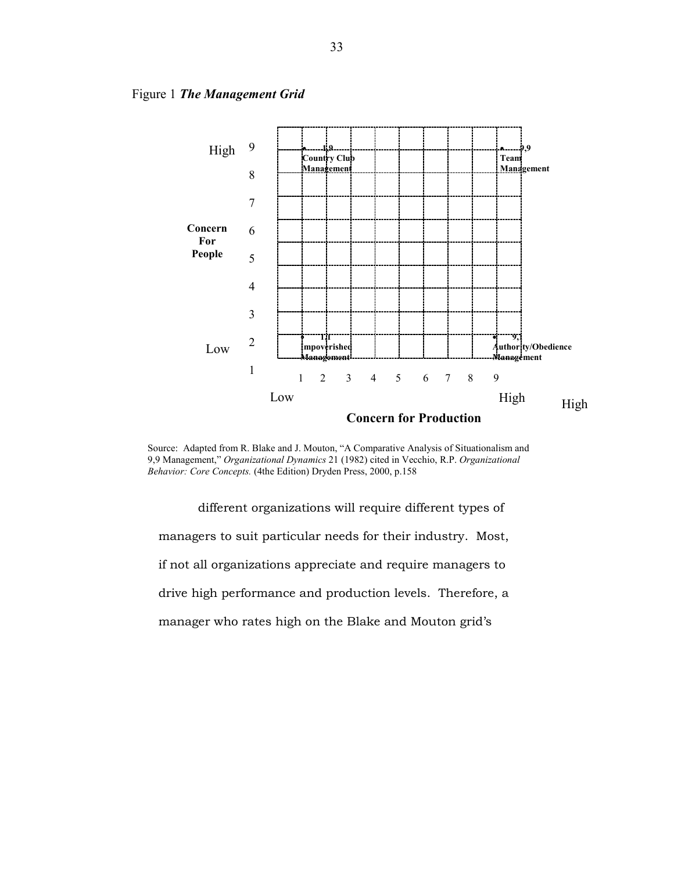

Figure 1 The Management Grid

Source: Adapted from R. Blake and J. Mouton, "A Comparative Analysis of Situationalism and 9,9 Management," Organizational Dynamics 21 (1982) cited in Vecchio, R.P. Organizational Behavior: Core Concepts. (4the Edition) Dryden Press, 2000, p.158

different organizations will require different types of managers to suit particular needs for their industry. Most, if not all organizations appreciate and require managers to drive high performance and production levels. Therefore, a manager who rates high on the Blake and Mouton grid's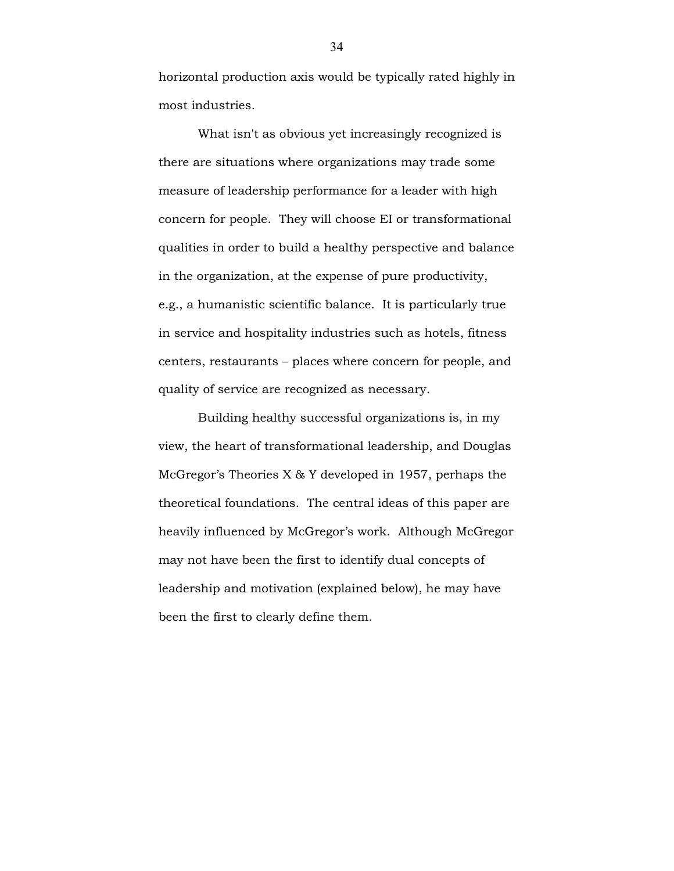horizontal production axis would be typically rated highly in most industries.

What isn't as obvious yet increasingly recognized is there are situations where organizations may trade some measure of leadership performance for a leader with high concern for people. They will choose EI or transformational qualities in order to build a healthy perspective and balance in the organization, at the expense of pure productivity, e.g., a humanistic scientific balance. It is particularly true in service and hospitality industries such as hotels, fitness centers, restaurants – places where concern for people, and quality of service are recognized as necessary.

Building healthy successful organizations is, in my view, the heart of transformational leadership, and Douglas McGregor's Theories X & Y developed in 1957, perhaps the theoretical foundations. The central ideas of this paper are heavily influenced by McGregor's work. Although McGregor may not have been the first to identify dual concepts of leadership and motivation (explained below), he may have been the first to clearly define them.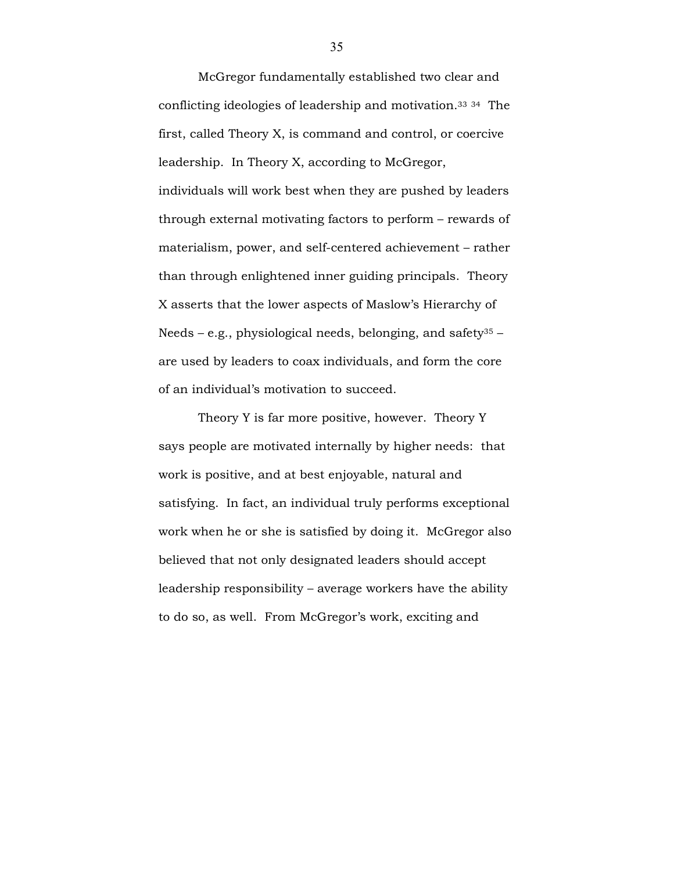McGregor fundamentally established two clear and conflicting ideologies of leadership and motivation. <sup>33</sup> <sup>34</sup> The first, called Theory X, is command and control, or coercive leadership. In Theory X, according to McGregor, individuals will work best when they are pushed by leaders through external motivating factors to perform – rewards of materialism, power, and self-centered achievement – rather than through enlightened inner guiding principals. Theory X asserts that the lower aspects of Maslow's Hierarchy of Needs – e.g., physiological needs, belonging, and safety<sup>35</sup> – are used by leaders to coax individuals, and form the core of an individual's motivation to succeed.

Theory Y is far more positive, however. Theory Y says people are motivated internally by higher needs: that work is positive, and at best enjoyable, natural and satisfying. In fact, an individual truly performs exceptional work when he or she is satisfied by doing it. McGregor also believed that not only designated leaders should accept leadership responsibility – average workers have the ability to do so, as well. From McGregor's work, exciting and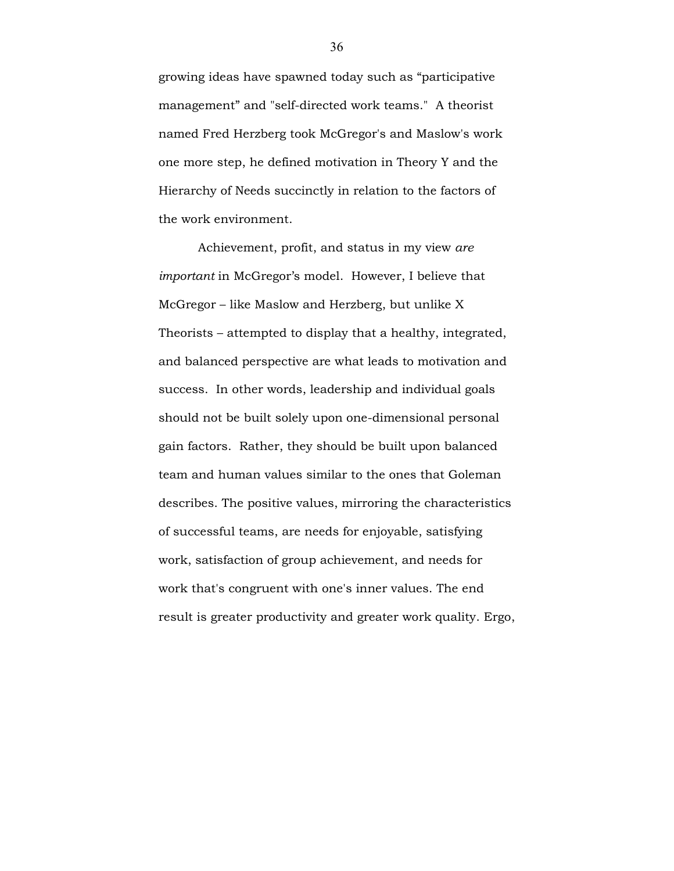growing ideas have spawned today such as "participative management" and "self-directed work teams." A theorist named Fred Herzberg took McGregor's and Maslow's work one more step, he defined motivation in Theory Y and the Hierarchy of Needs succinctly in relation to the factors of the work environment.

Achievement, profit, and status in my view are important in McGregor's model. However, I believe that McGregor – like Maslow and Herzberg, but unlike X Theorists – attempted to display that a healthy, integrated, and balanced perspective are what leads to motivation and success. In other words, leadership and individual goals should not be built solely upon one-dimensional personal gain factors. Rather, they should be built upon balanced team and human values similar to the ones that Goleman describes. The positive values, mirroring the characteristics of successful teams, are needs for enjoyable, satisfying work, satisfaction of group achievement, and needs for work that's congruent with one's inner values. The end result is greater productivity and greater work quality. Ergo,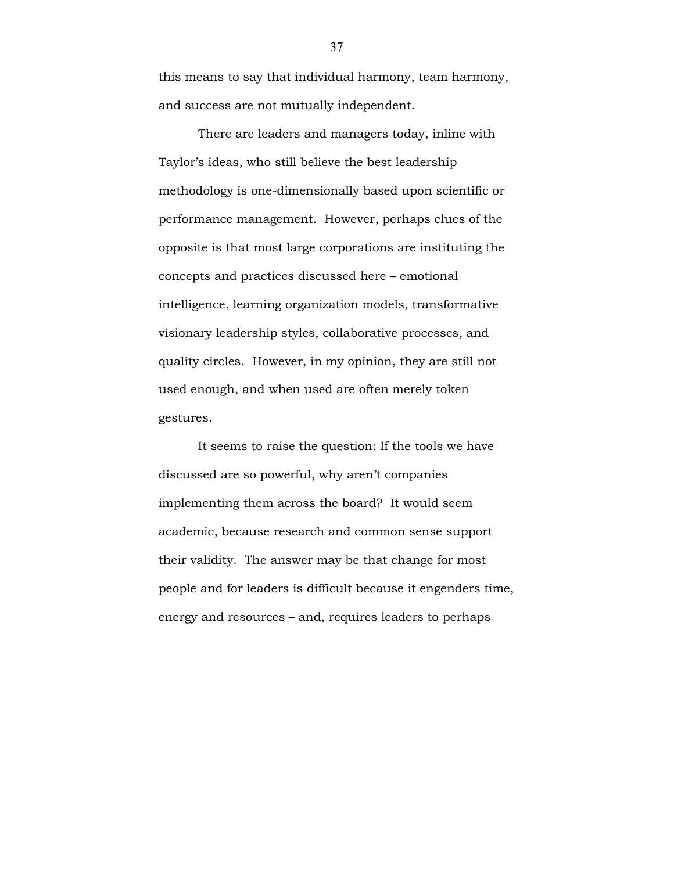this means to say that individual harmony, team harmony, and success are not mutually independent.

There are leaders and managers today, inline with Taylor's ideas, who still believe the best leadership methodology is one-dimensionally based upon scientific or performance management. However, perhaps clues of the opposite is that most large corporations are instituting the concepts and practices discussed here – emotional intelligence, learning organization models, transformative visionary leadership styles, collaborative processes, and quality circles. However, in my opinion, they are still not used enough, and when used are often merely token gestures.

It seems to raise the question: If the tools we have discussed are so powerful, why aren't companies implementing them across the board? It would seem academic, because research and common sense support their validity. The answer may be that change for most people and for leaders is difficult because it engenders time, energy and resources – and, requires leaders to perhaps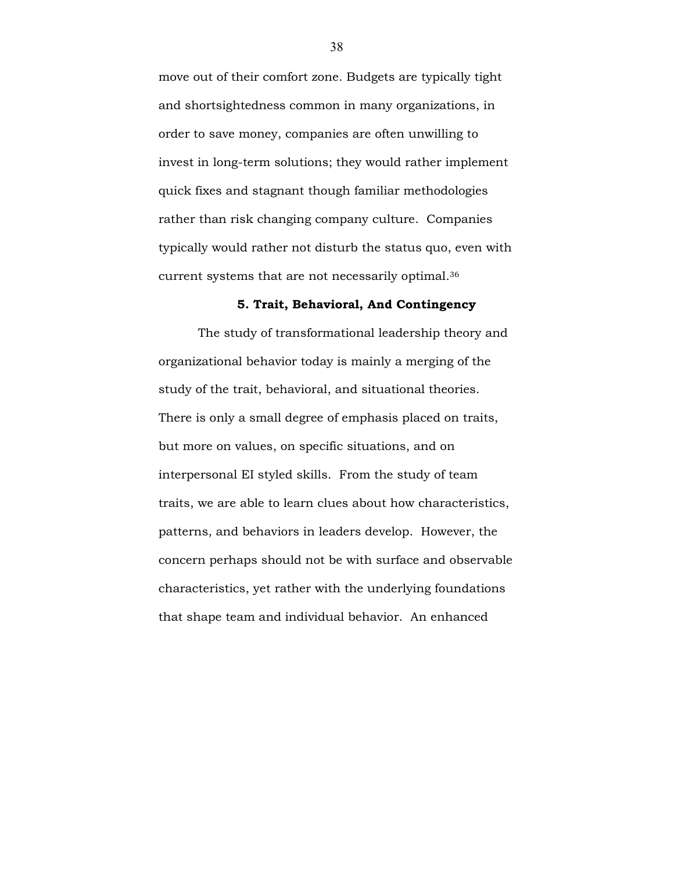move out of their comfort zone. Budgets are typically tight and shortsightedness common in many organizations, in order to save money, companies are often unwilling to invest in long-term solutions; they would rather implement quick fixes and stagnant though familiar methodologies rather than risk changing company culture. Companies typically would rather not disturb the status quo, even with current systems that are not necessarily optimal.<sup>36</sup>

#### 5. Trait, Behavioral, And Contingency

The study of transformational leadership theory and organizational behavior today is mainly a merging of the study of the trait, behavioral, and situational theories. There is only a small degree of emphasis placed on traits, but more on values, on specific situations, and on interpersonal EI styled skills. From the study of team traits, we are able to learn clues about how characteristics, patterns, and behaviors in leaders develop. However, the concern perhaps should not be with surface and observable characteristics, yet rather with the underlying foundations that shape team and individual behavior. An enhanced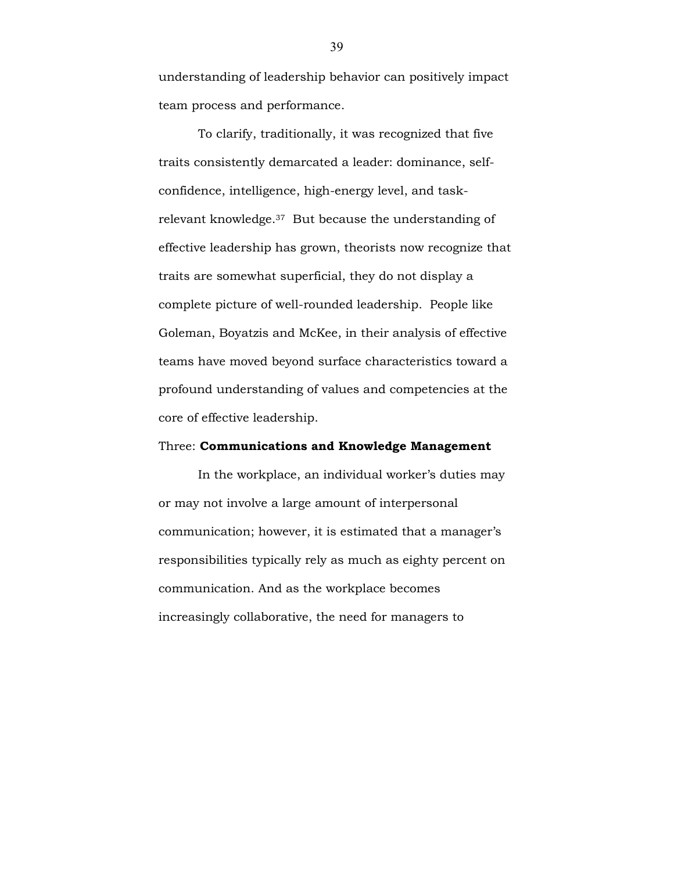understanding of leadership behavior can positively impact team process and performance.

To clarify, traditionally, it was recognized that five traits consistently demarcated a leader: dominance, selfconfidence, intelligence, high-energy level, and taskrelevant knowledge.37 But because the understanding of effective leadership has grown, theorists now recognize that traits are somewhat superficial, they do not display a complete picture of well-rounded leadership. People like Goleman, Boyatzis and McKee, in their analysis of effective teams have moved beyond surface characteristics toward a profound understanding of values and competencies at the core of effective leadership.

#### Three: Communications and Knowledge Management

In the workplace, an individual worker's duties may or may not involve a large amount of interpersonal communication; however, it is estimated that a manager's responsibilities typically rely as much as eighty percent on communication. And as the workplace becomes increasingly collaborative, the need for managers to

39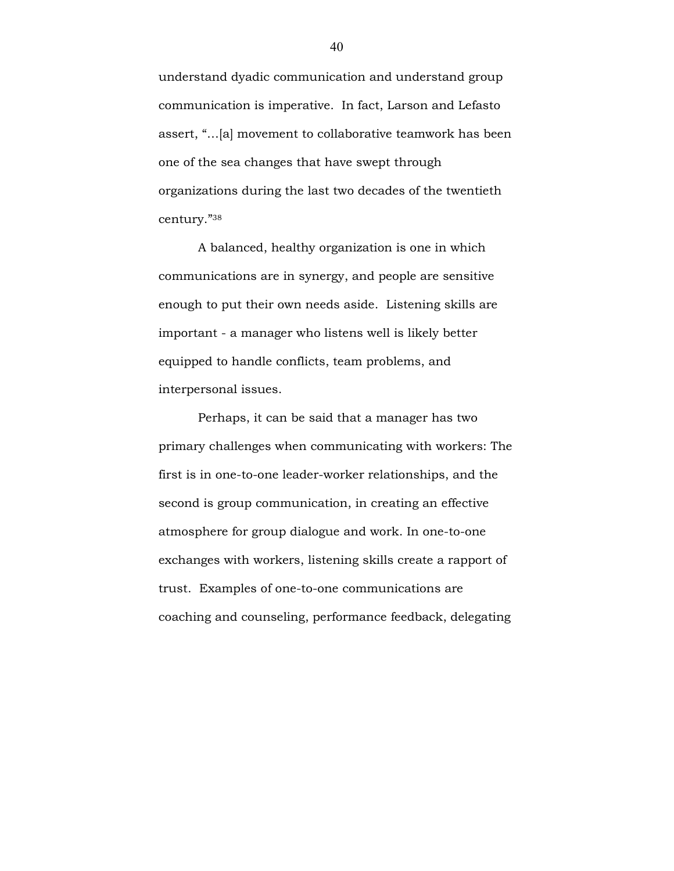understand dyadic communication and understand group communication is imperative. In fact, Larson and Lefasto assert, "…[a] movement to collaborative teamwork has been one of the sea changes that have swept through organizations during the last two decades of the twentieth century."<sup>38</sup>

A balanced, healthy organization is one in which communications are in synergy, and people are sensitive enough to put their own needs aside. Listening skills are important - a manager who listens well is likely better equipped to handle conflicts, team problems, and interpersonal issues.

Perhaps, it can be said that a manager has two primary challenges when communicating with workers: The first is in one-to-one leader-worker relationships, and the second is group communication, in creating an effective atmosphere for group dialogue and work. In one-to-one exchanges with workers, listening skills create a rapport of trust. Examples of one-to-one communications are coaching and counseling, performance feedback, delegating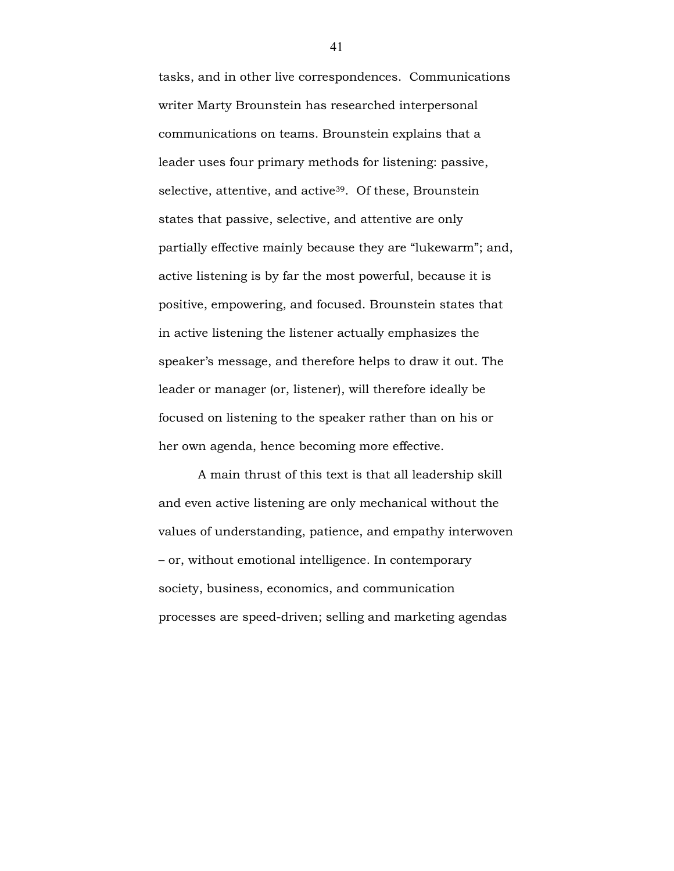tasks, and in other live correspondences. Communications writer Marty Brounstein has researched interpersonal communications on teams. Brounstein explains that a leader uses four primary methods for listening: passive, selective, attentive, and active<sup>39</sup>. Of these, Brounstein states that passive, selective, and attentive are only partially effective mainly because they are "lukewarm"; and, active listening is by far the most powerful, because it is positive, empowering, and focused. Brounstein states that in active listening the listener actually emphasizes the speaker's message, and therefore helps to draw it out. The leader or manager (or, listener), will therefore ideally be focused on listening to the speaker rather than on his or her own agenda, hence becoming more effective.

A main thrust of this text is that all leadership skill and even active listening are only mechanical without the values of understanding, patience, and empathy interwoven – or, without emotional intelligence. In contemporary society, business, economics, and communication processes are speed-driven; selling and marketing agendas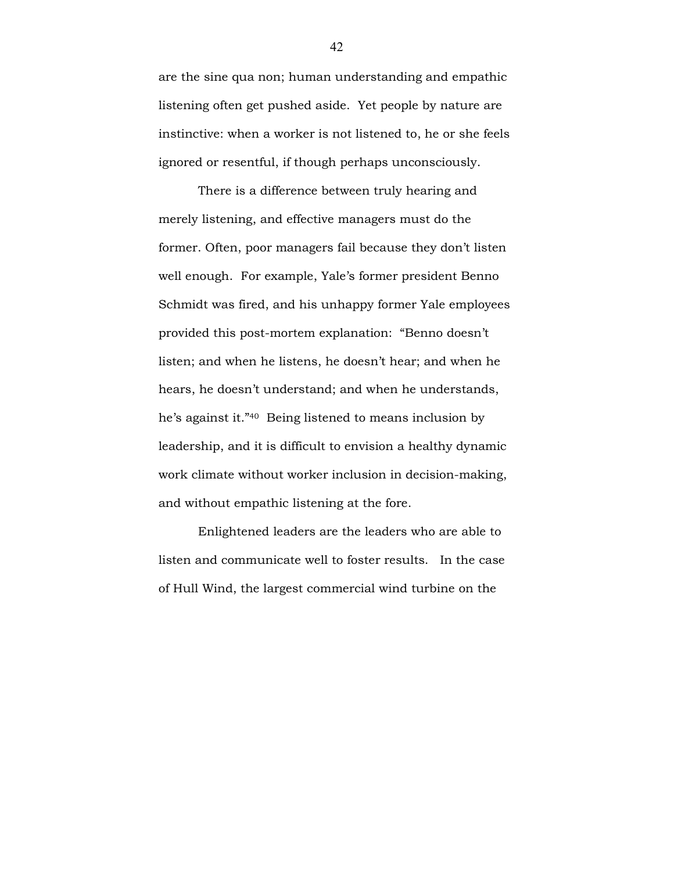are the sine qua non; human understanding and empathic listening often get pushed aside. Yet people by nature are instinctive: when a worker is not listened to, he or she feels ignored or resentful, if though perhaps unconsciously.

There is a difference between truly hearing and merely listening, and effective managers must do the former. Often, poor managers fail because they don't listen well enough. For example, Yale's former president Benno Schmidt was fired, and his unhappy former Yale employees provided this post-mortem explanation: "Benno doesn't listen; and when he listens, he doesn't hear; and when he hears, he doesn't understand; and when he understands, he's against it."40 Being listened to means inclusion by leadership, and it is difficult to envision a healthy dynamic work climate without worker inclusion in decision-making, and without empathic listening at the fore.

Enlightened leaders are the leaders who are able to listen and communicate well to foster results. In the case of Hull Wind, the largest commercial wind turbine on the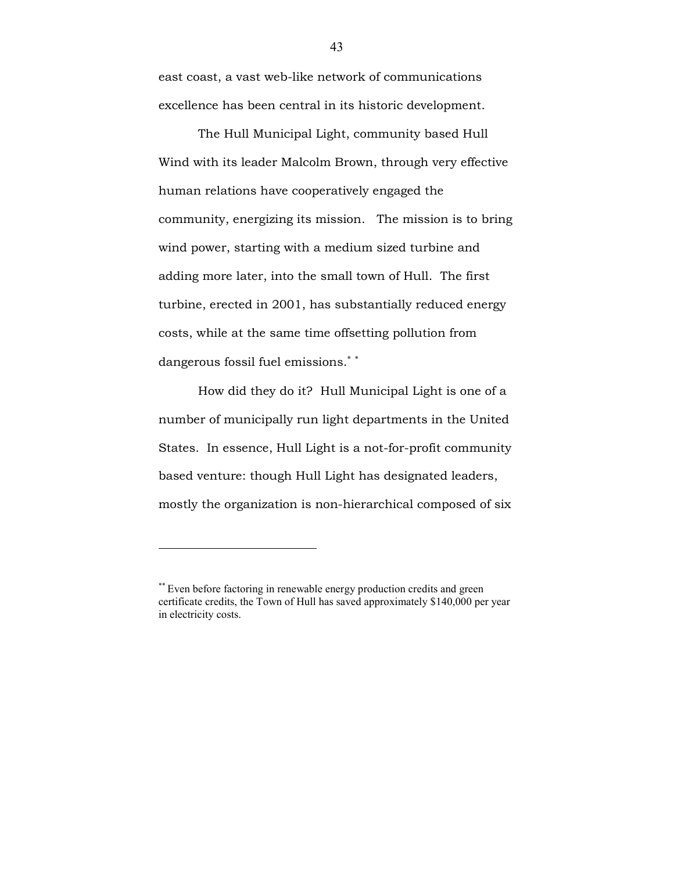east coast, a vast web-like network of communications excellence has been central in its historic development.

The Hull Municipal Light, community based Hull Wind with its leader Malcolm Brown, through very effective human relations have cooperatively engaged the community, energizing its mission. The mission is to bring wind power, starting with a medium sized turbine and adding more later, into the small town of Hull. The first turbine, erected in 2001, has substantially reduced energy costs, while at the same time offsetting pollution from dangerous fossil fuel emissions.<sup>∗</sup> <sup>∗</sup>

How did they do it? Hull Municipal Light is one of a number of municipally run light departments in the United States. In essence, Hull Light is a not-for-profit community based venture: though Hull Light has designated leaders, mostly the organization is non-hierarchical composed of six

 $\overline{a}$ 

<sup>\*\*</sup> Even before factoring in renewable energy production credits and green certificate credits, the Town of Hull has saved approximately \$140,000 per year in electricity costs.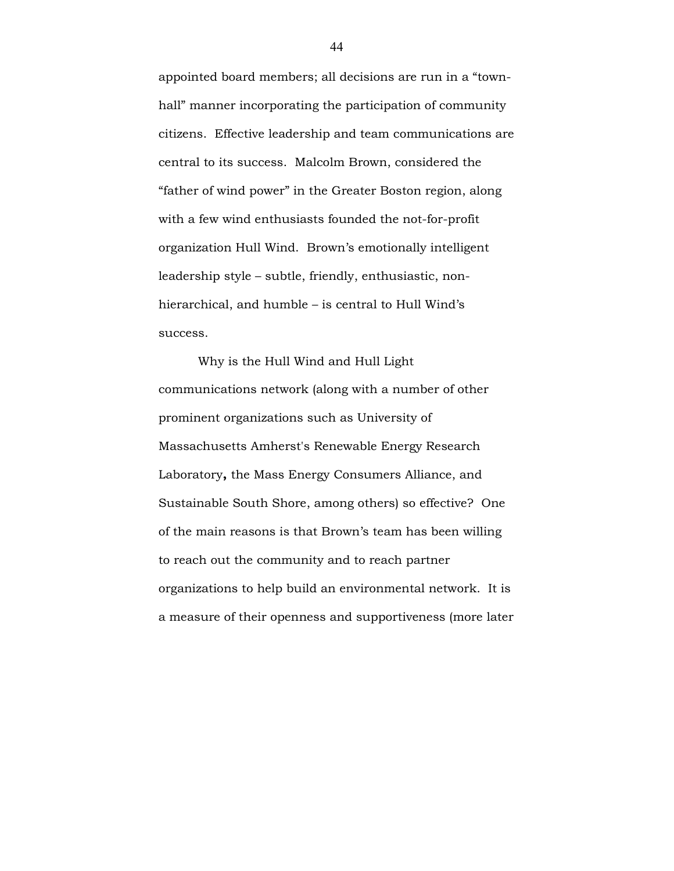appointed board members; all decisions are run in a "townhall" manner incorporating the participation of community citizens. Effective leadership and team communications are central to its success. Malcolm Brown, considered the "father of wind power" in the Greater Boston region, along with a few wind enthusiasts founded the not-for-profit organization Hull Wind. Brown's emotionally intelligent leadership style – subtle, friendly, enthusiastic, nonhierarchical, and humble – is central to Hull Wind's success.

Why is the Hull Wind and Hull Light communications network (along with a number of other prominent organizations such as University of Massachusetts Amherst's Renewable Energy Research Laboratory, the Mass Energy Consumers Alliance, and Sustainable South Shore, among others) so effective? One of the main reasons is that Brown's team has been willing to reach out the community and to reach partner organizations to help build an environmental network. It is a measure of their openness and supportiveness (more later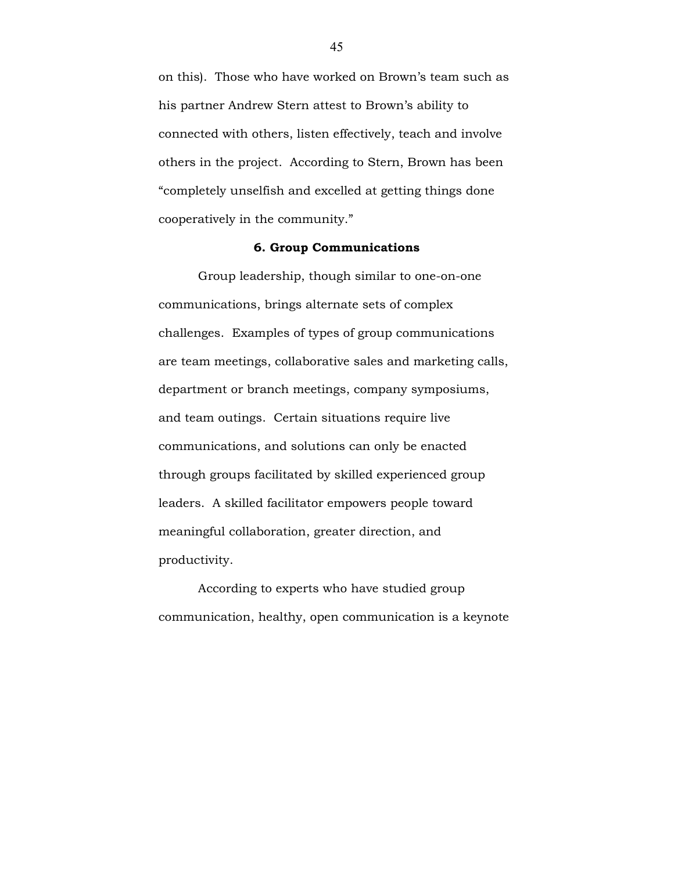on this). Those who have worked on Brown's team such as his partner Andrew Stern attest to Brown's ability to connected with others, listen effectively, teach and involve others in the project. According to Stern, Brown has been "completely unselfish and excelled at getting things done cooperatively in the community."

## 6. Group Communications

Group leadership, though similar to one-on-one communications, brings alternate sets of complex challenges. Examples of types of group communications are team meetings, collaborative sales and marketing calls, department or branch meetings, company symposiums, and team outings. Certain situations require live communications, and solutions can only be enacted through groups facilitated by skilled experienced group leaders. A skilled facilitator empowers people toward meaningful collaboration, greater direction, and productivity.

 According to experts who have studied group communication, healthy, open communication is a keynote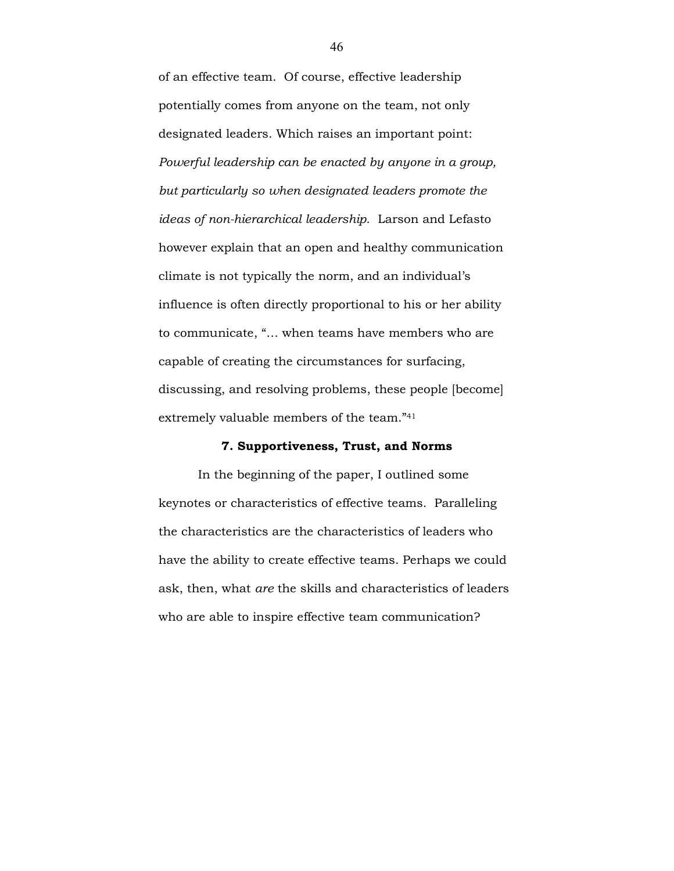of an effective team. Of course, effective leadership potentially comes from anyone on the team, not only designated leaders. Which raises an important point: Powerful leadership can be enacted by anyone in a group, but particularly so when designated leaders promote the ideas of non-hierarchical leadership. Larson and Lefasto however explain that an open and healthy communication climate is not typically the norm, and an individual's influence is often directly proportional to his or her ability to communicate, "… when teams have members who are capable of creating the circumstances for surfacing, discussing, and resolving problems, these people [become] extremely valuable members of the team."<sup>41</sup>

#### 7. Supportiveness, Trust, and Norms

 In the beginning of the paper, I outlined some keynotes or characteristics of effective teams. Paralleling the characteristics are the characteristics of leaders who have the ability to create effective teams. Perhaps we could ask, then, what are the skills and characteristics of leaders who are able to inspire effective team communication?

46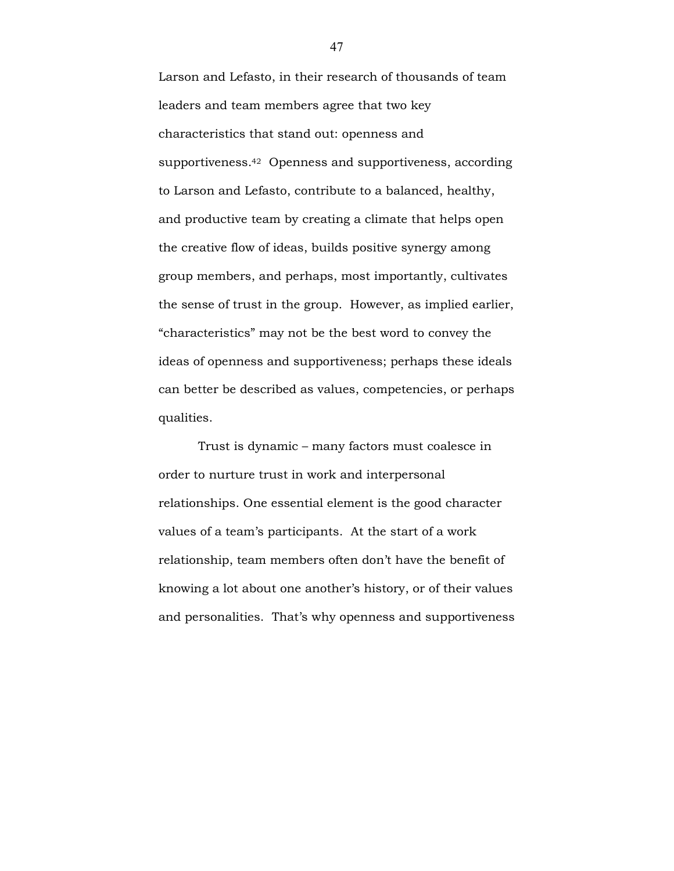Larson and Lefasto, in their research of thousands of team leaders and team members agree that two key characteristics that stand out: openness and supportiveness.42 Openness and supportiveness, according to Larson and Lefasto, contribute to a balanced, healthy, and productive team by creating a climate that helps open the creative flow of ideas, builds positive synergy among group members, and perhaps, most importantly, cultivates the sense of trust in the group. However, as implied earlier, "characteristics" may not be the best word to convey the ideas of openness and supportiveness; perhaps these ideals can better be described as values, competencies, or perhaps qualities.

 Trust is dynamic – many factors must coalesce in order to nurture trust in work and interpersonal relationships. One essential element is the good character values of a team's participants. At the start of a work relationship, team members often don't have the benefit of knowing a lot about one another's history, or of their values and personalities. That's why openness and supportiveness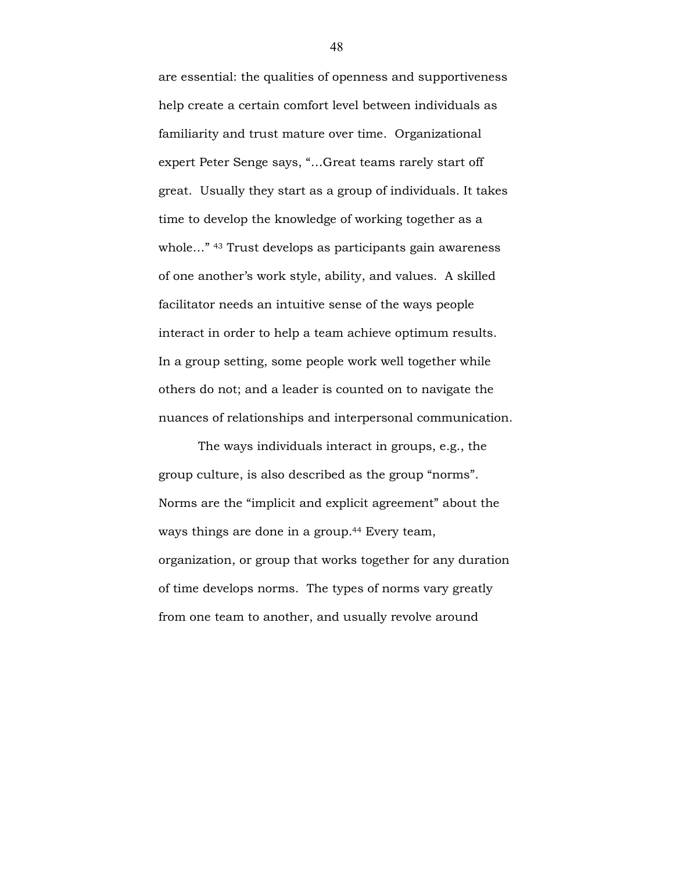are essential: the qualities of openness and supportiveness help create a certain comfort level between individuals as familiarity and trust mature over time. Organizational expert Peter Senge says, "…Great teams rarely start off great. Usually they start as a group of individuals. It takes time to develop the knowledge of working together as a whole..."<sup>43</sup> Trust develops as participants gain awareness of one another's work style, ability, and values. A skilled facilitator needs an intuitive sense of the ways people interact in order to help a team achieve optimum results. In a group setting, some people work well together while others do not; and a leader is counted on to navigate the nuances of relationships and interpersonal communication.

The ways individuals interact in groups, e.g., the group culture, is also described as the group "norms". Norms are the "implicit and explicit agreement" about the ways things are done in a group.<sup>44</sup> Every team, organization, or group that works together for any duration of time develops norms. The types of norms vary greatly from one team to another, and usually revolve around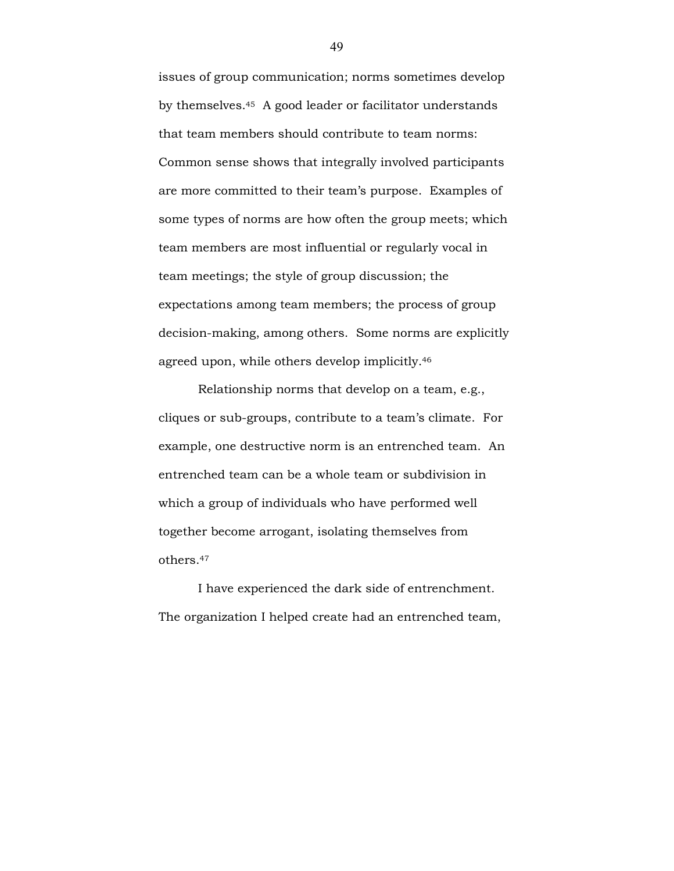issues of group communication; norms sometimes develop by themselves.45 A good leader or facilitator understands that team members should contribute to team norms: Common sense shows that integrally involved participants are more committed to their team's purpose. Examples of some types of norms are how often the group meets; which team members are most influential or regularly vocal in team meetings; the style of group discussion; the expectations among team members; the process of group decision-making, among others. Some norms are explicitly agreed upon, while others develop implicitly.<sup>46</sup>

 Relationship norms that develop on a team, e.g., cliques or sub-groups, contribute to a team's climate. For example, one destructive norm is an entrenched team. An entrenched team can be a whole team or subdivision in which a group of individuals who have performed well together become arrogant, isolating themselves from others.<sup>47</sup>

I have experienced the dark side of entrenchment. The organization I helped create had an entrenched team,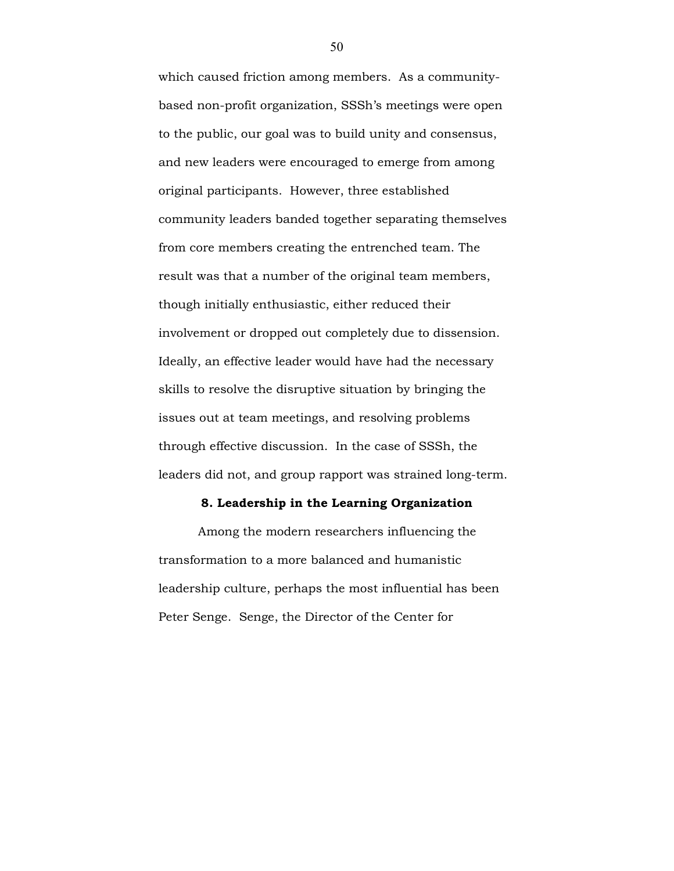which caused friction among members. As a communitybased non-profit organization, SSSh's meetings were open to the public, our goal was to build unity and consensus, and new leaders were encouraged to emerge from among original participants. However, three established community leaders banded together separating themselves from core members creating the entrenched team. The result was that a number of the original team members, though initially enthusiastic, either reduced their involvement or dropped out completely due to dissension. Ideally, an effective leader would have had the necessary skills to resolve the disruptive situation by bringing the issues out at team meetings, and resolving problems through effective discussion. In the case of SSSh, the leaders did not, and group rapport was strained long-term.

### 8. Leadership in the Learning Organization

Among the modern researchers influencing the transformation to a more balanced and humanistic leadership culture, perhaps the most influential has been Peter Senge. Senge, the Director of the Center for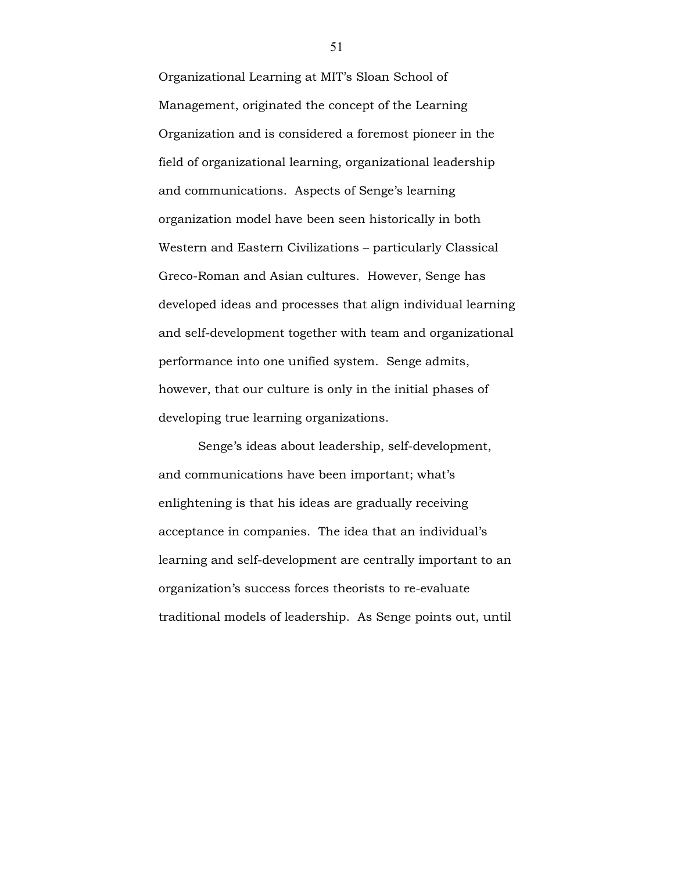Organizational Learning at MIT's Sloan School of Management, originated the concept of the Learning Organization and is considered a foremost pioneer in the field of organizational learning, organizational leadership and communications. Aspects of Senge's learning organization model have been seen historically in both Western and Eastern Civilizations – particularly Classical Greco-Roman and Asian cultures. However, Senge has developed ideas and processes that align individual learning and self-development together with team and organizational performance into one unified system. Senge admits, however, that our culture is only in the initial phases of developing true learning organizations.

 Senge's ideas about leadership, self-development, and communications have been important; what's enlightening is that his ideas are gradually receiving acceptance in companies. The idea that an individual's learning and self-development are centrally important to an organization's success forces theorists to re-evaluate traditional models of leadership. As Senge points out, until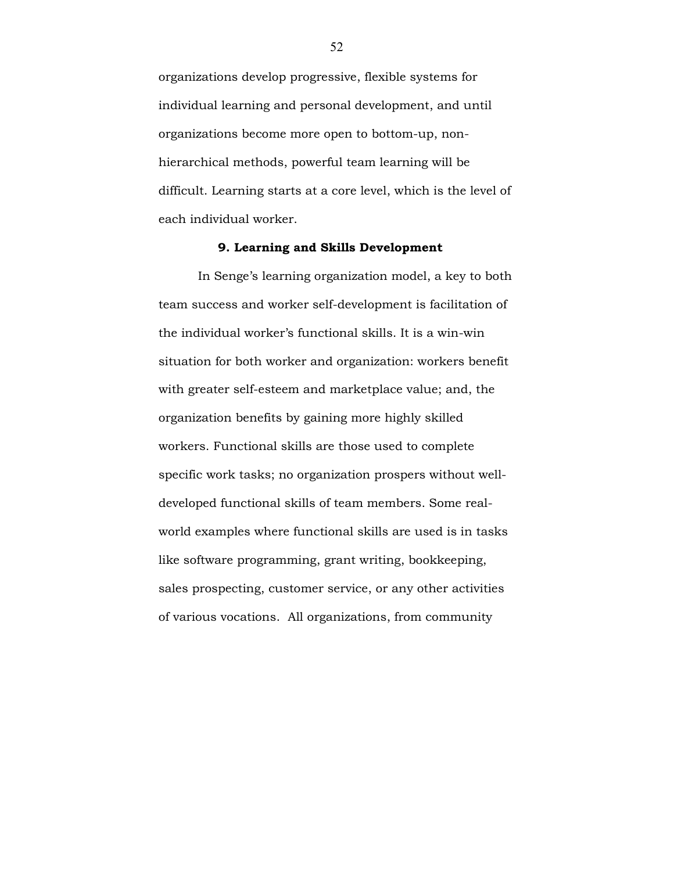organizations develop progressive, flexible systems for individual learning and personal development, and until organizations become more open to bottom-up, nonhierarchical methods, powerful team learning will be difficult. Learning starts at a core level, which is the level of each individual worker.

### 9. Learning and Skills Development

 In Senge's learning organization model, a key to both team success and worker self-development is facilitation of the individual worker's functional skills. It is a win-win situation for both worker and organization: workers benefit with greater self-esteem and marketplace value; and, the organization benefits by gaining more highly skilled workers. Functional skills are those used to complete specific work tasks; no organization prospers without welldeveloped functional skills of team members. Some realworld examples where functional skills are used is in tasks like software programming, grant writing, bookkeeping, sales prospecting, customer service, or any other activities of various vocations. All organizations, from community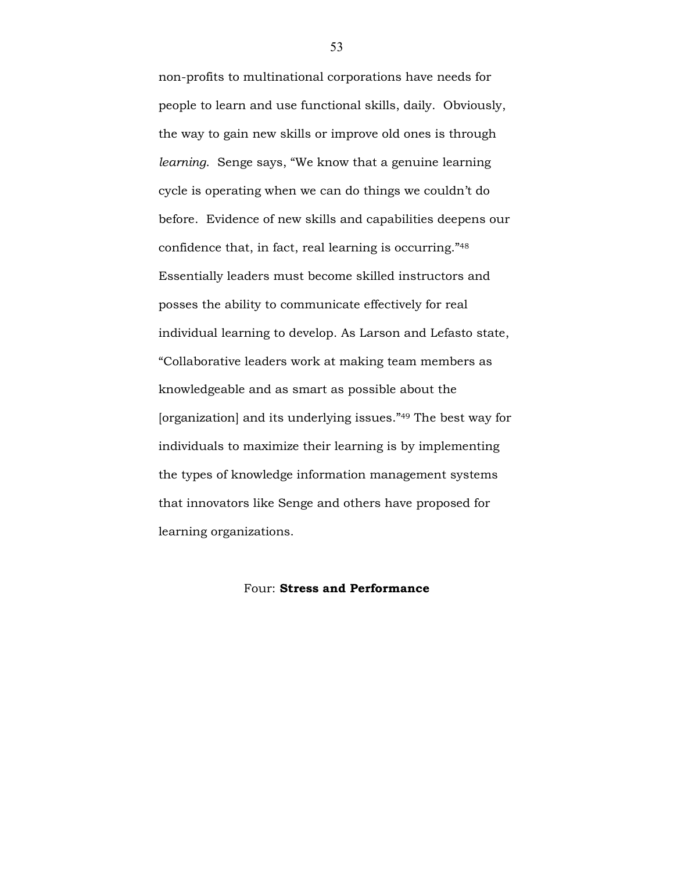non-profits to multinational corporations have needs for people to learn and use functional skills, daily. Obviously, the way to gain new skills or improve old ones is through learning. Senge says, "We know that a genuine learning cycle is operating when we can do things we couldn't do before. Evidence of new skills and capabilities deepens our confidence that, in fact, real learning is occurring."<sup>48</sup> Essentially leaders must become skilled instructors and posses the ability to communicate effectively for real individual learning to develop. As Larson and Lefasto state, "Collaborative leaders work at making team members as knowledgeable and as smart as possible about the [organization] and its underlying issues."49 The best way for individuals to maximize their learning is by implementing the types of knowledge information management systems that innovators like Senge and others have proposed for learning organizations.

## Four: Stress and Performance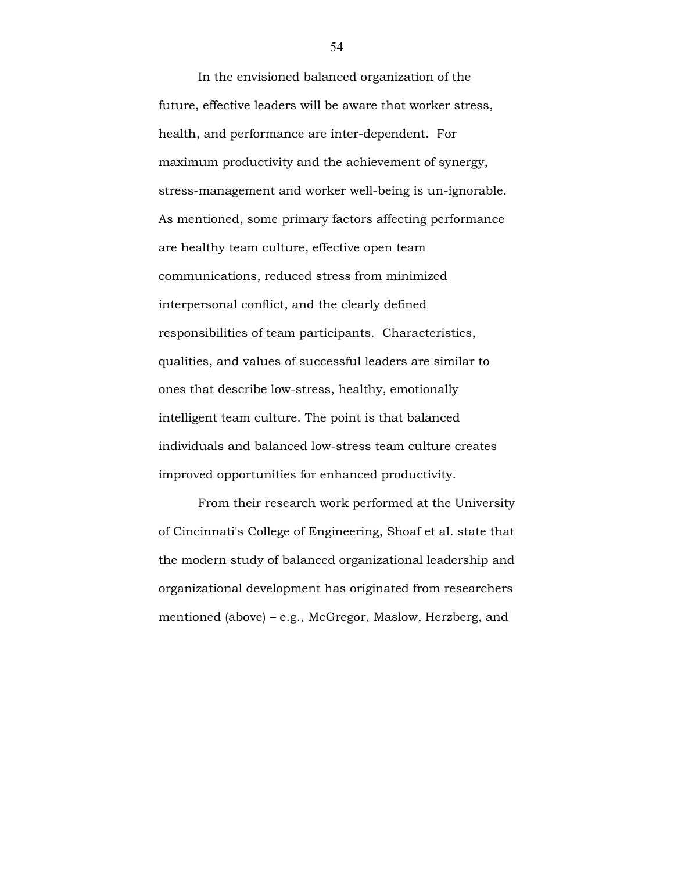In the envisioned balanced organization of the future, effective leaders will be aware that worker stress, health, and performance are inter-dependent. For maximum productivity and the achievement of synergy, stress-management and worker well-being is un-ignorable. As mentioned, some primary factors affecting performance are healthy team culture, effective open team communications, reduced stress from minimized interpersonal conflict, and the clearly defined responsibilities of team participants. Characteristics, qualities, and values of successful leaders are similar to ones that describe low-stress, healthy, emotionally intelligent team culture. The point is that balanced individuals and balanced low-stress team culture creates improved opportunities for enhanced productivity.

 From their research work performed at the University of Cincinnati's College of Engineering, Shoaf et al. state that the modern study of balanced organizational leadership and organizational development has originated from researchers mentioned (above) – e.g., McGregor, Maslow, Herzberg, and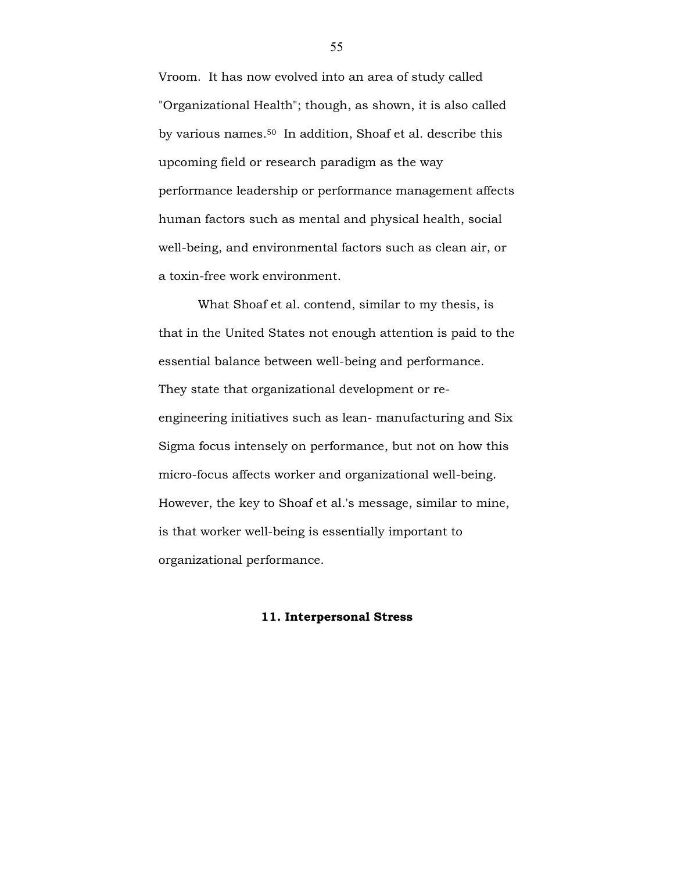Vroom. It has now evolved into an area of study called "Organizational Health"; though, as shown, it is also called by various names.50 In addition, Shoaf et al. describe this upcoming field or research paradigm as the way performance leadership or performance management affects human factors such as mental and physical health, social well-being, and environmental factors such as clean air, or a toxin-free work environment.

 What Shoaf et al. contend, similar to my thesis, is that in the United States not enough attention is paid to the essential balance between well-being and performance. They state that organizational development or reengineering initiatives such as lean- manufacturing and Six Sigma focus intensely on performance, but not on how this micro-focus affects worker and organizational well-being. However, the key to Shoaf et al.'s message, similar to mine, is that worker well-being is essentially important to organizational performance.

## 11. Interpersonal Stress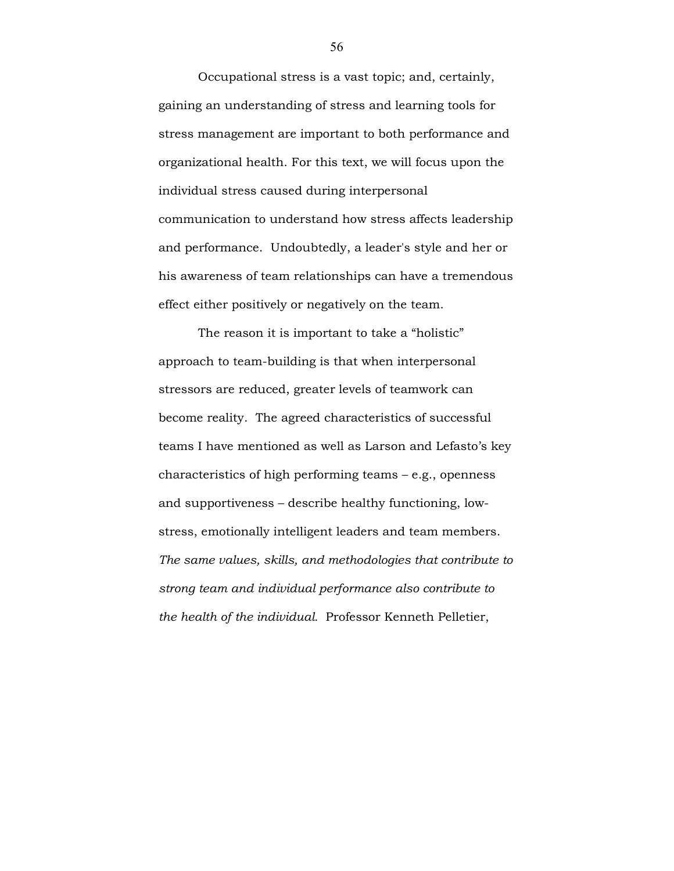Occupational stress is a vast topic; and, certainly, gaining an understanding of stress and learning tools for stress management are important to both performance and organizational health. For this text, we will focus upon the individual stress caused during interpersonal communication to understand how stress affects leadership and performance. Undoubtedly, a leader's style and her or his awareness of team relationships can have a tremendous effect either positively or negatively on the team.

 The reason it is important to take a "holistic" approach to team-building is that when interpersonal stressors are reduced, greater levels of teamwork can become reality. The agreed characteristics of successful teams I have mentioned as well as Larson and Lefasto's key characteristics of high performing teams – e.g., openness and supportiveness – describe healthy functioning, lowstress, emotionally intelligent leaders and team members. The same values, skills, and methodologies that contribute to strong team and individual performance also contribute to the health of the individual. Professor Kenneth Pelletier,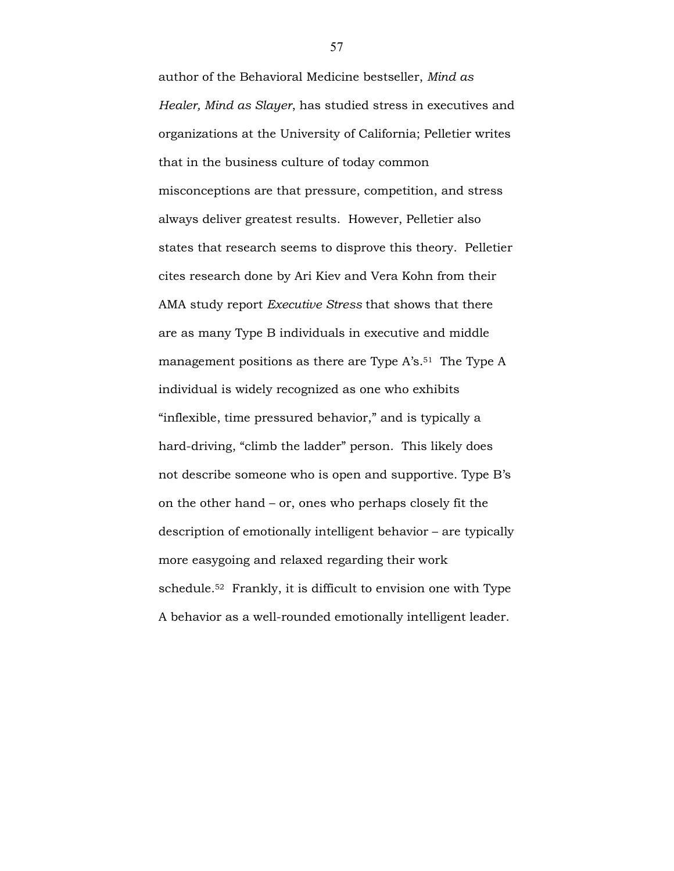author of the Behavioral Medicine bestseller, Mind as Healer, Mind as Slayer, has studied stress in executives and organizations at the University of California; Pelletier writes that in the business culture of today common misconceptions are that pressure, competition, and stress always deliver greatest results. However, Pelletier also states that research seems to disprove this theory. Pelletier cites research done by Ari Kiev and Vera Kohn from their AMA study report Executive Stress that shows that there are as many Type B individuals in executive and middle management positions as there are Type A's.<sup>51</sup> The Type A individual is widely recognized as one who exhibits "inflexible, time pressured behavior," and is typically a hard-driving, "climb the ladder" person. This likely does not describe someone who is open and supportive. Type B's on the other hand – or, ones who perhaps closely fit the description of emotionally intelligent behavior – are typically more easygoing and relaxed regarding their work schedule.52 Frankly, it is difficult to envision one with Type A behavior as a well-rounded emotionally intelligent leader.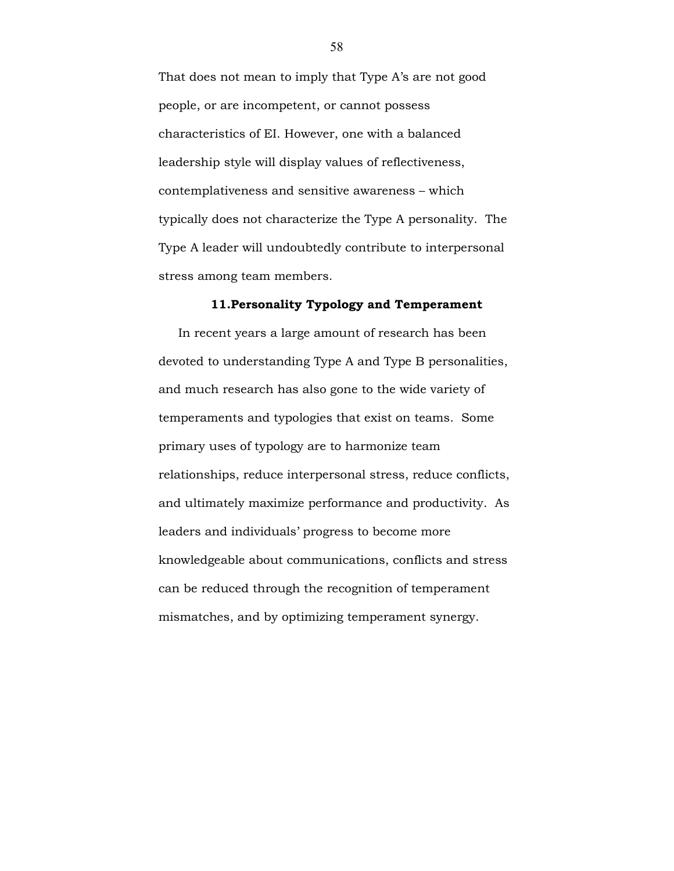That does not mean to imply that Type A's are not good people, or are incompetent, or cannot possess characteristics of EI. However, one with a balanced leadership style will display values of reflectiveness, contemplativeness and sensitive awareness – which typically does not characterize the Type A personality. The Type A leader will undoubtedly contribute to interpersonal stress among team members.

#### 11.Personality Typology and Temperament

In recent years a large amount of research has been devoted to understanding Type A and Type B personalities, and much research has also gone to the wide variety of temperaments and typologies that exist on teams. Some primary uses of typology are to harmonize team relationships, reduce interpersonal stress, reduce conflicts, and ultimately maximize performance and productivity. As leaders and individuals' progress to become more knowledgeable about communications, conflicts and stress can be reduced through the recognition of temperament mismatches, and by optimizing temperament synergy.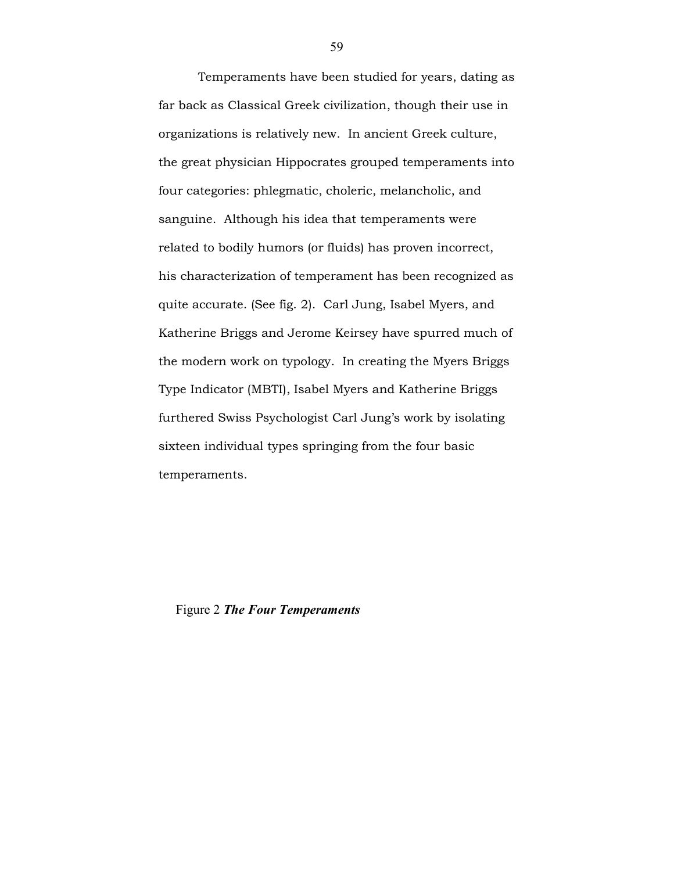Temperaments have been studied for years, dating as far back as Classical Greek civilization, though their use in organizations is relatively new. In ancient Greek culture, the great physician Hippocrates grouped temperaments into four categories: phlegmatic, choleric, melancholic, and sanguine. Although his idea that temperaments were related to bodily humors (or fluids) has proven incorrect, his characterization of temperament has been recognized as quite accurate. (See fig. 2). Carl Jung, Isabel Myers, and Katherine Briggs and Jerome Keirsey have spurred much of the modern work on typology. In creating the Myers Briggs Type Indicator (MBTI), Isabel Myers and Katherine Briggs furthered Swiss Psychologist Carl Jung's work by isolating sixteen individual types springing from the four basic temperaments.

Figure 2 The Four Temperaments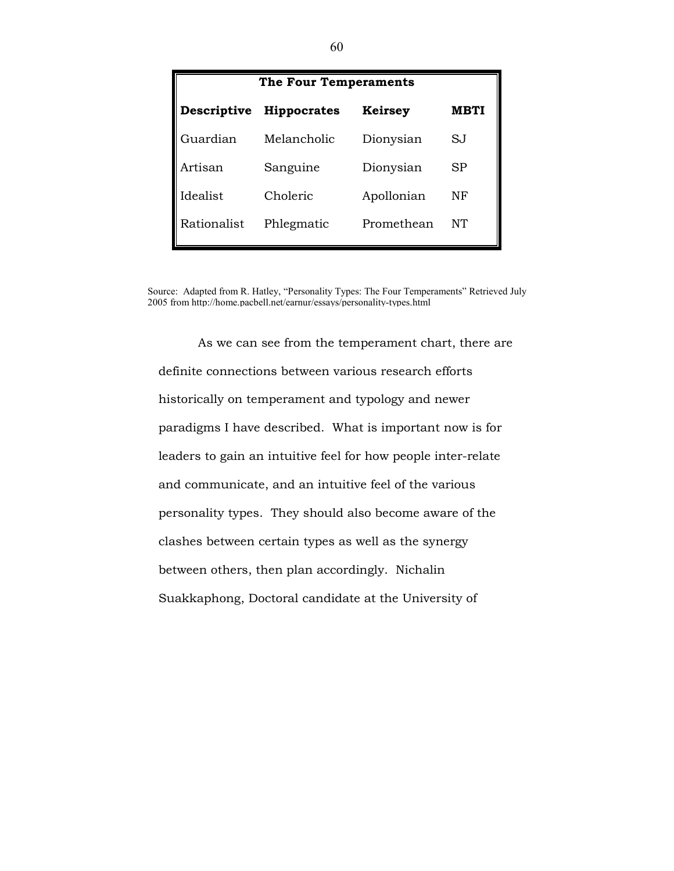| <b>The Four Temperaments</b> |                    |                |             |
|------------------------------|--------------------|----------------|-------------|
| Descriptive                  | <b>Hippocrates</b> | <b>Keirsey</b> | <b>MBTI</b> |
| Guardian                     | Melancholic        | Dionysian      | SJ          |
| Artisan                      | Sanguine           | Dionysian      | SP          |
| Idealist                     | Choleric           | Apollonian     | NF          |
| Rationalist                  | Phlegmatic         | Promethean     | NT          |

Source: Adapted from R. Hatley, "Personality Types: The Four Temperaments" Retrieved July 2005 from http://home.pacbell.net/earnur/essays/personality-types.html

As we can see from the temperament chart, there are definite connections between various research efforts historically on temperament and typology and newer paradigms I have described. What is important now is for leaders to gain an intuitive feel for how people inter-relate and communicate, and an intuitive feel of the various personality types. They should also become aware of the clashes between certain types as well as the synergy between others, then plan accordingly. Nichalin Suakkaphong, Doctoral candidate at the University of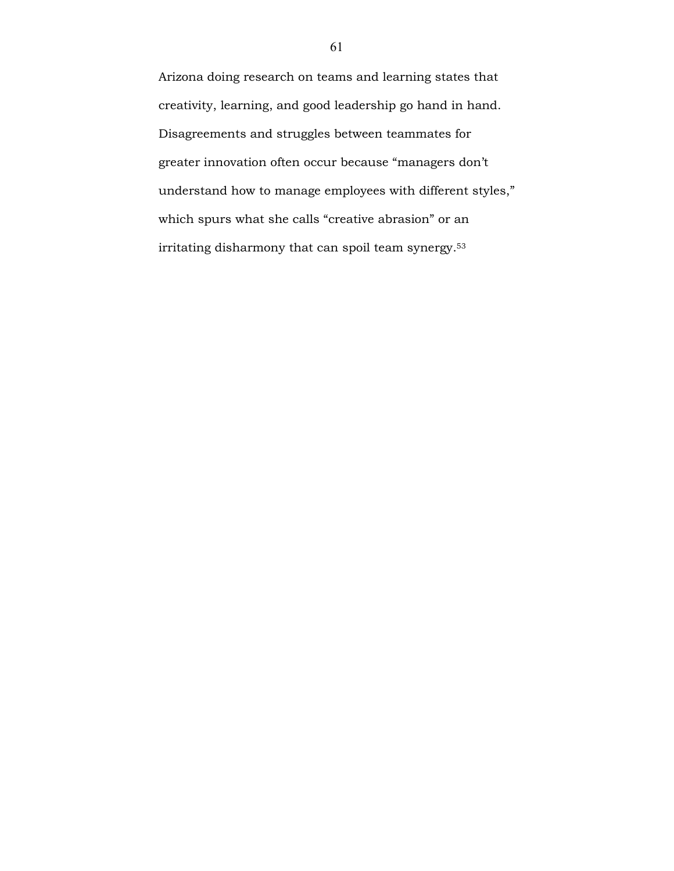Arizona doing research on teams and learning states that creativity, learning, and good leadership go hand in hand. Disagreements and struggles between teammates for greater innovation often occur because "managers don't understand how to manage employees with different styles," which spurs what she calls "creative abrasion" or an irritating disharmony that can spoil team synergy.53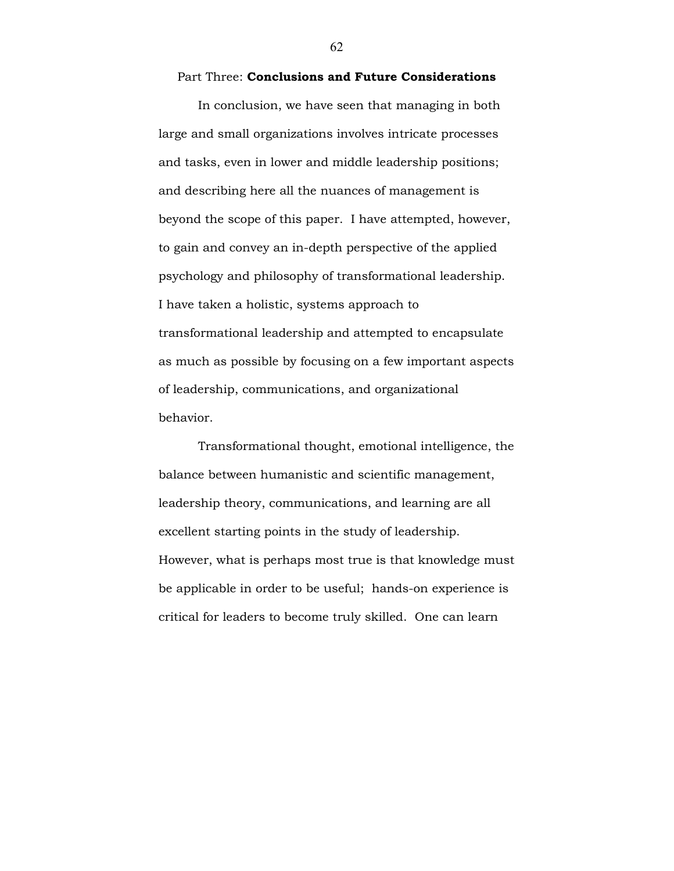#### Part Three: Conclusions and Future Considerations

In conclusion, we have seen that managing in both large and small organizations involves intricate processes and tasks, even in lower and middle leadership positions; and describing here all the nuances of management is beyond the scope of this paper. I have attempted, however, to gain and convey an in-depth perspective of the applied psychology and philosophy of transformational leadership. I have taken a holistic, systems approach to transformational leadership and attempted to encapsulate as much as possible by focusing on a few important aspects of leadership, communications, and organizational behavior.

 Transformational thought, emotional intelligence, the balance between humanistic and scientific management, leadership theory, communications, and learning are all excellent starting points in the study of leadership. However, what is perhaps most true is that knowledge must be applicable in order to be useful; hands-on experience is critical for leaders to become truly skilled. One can learn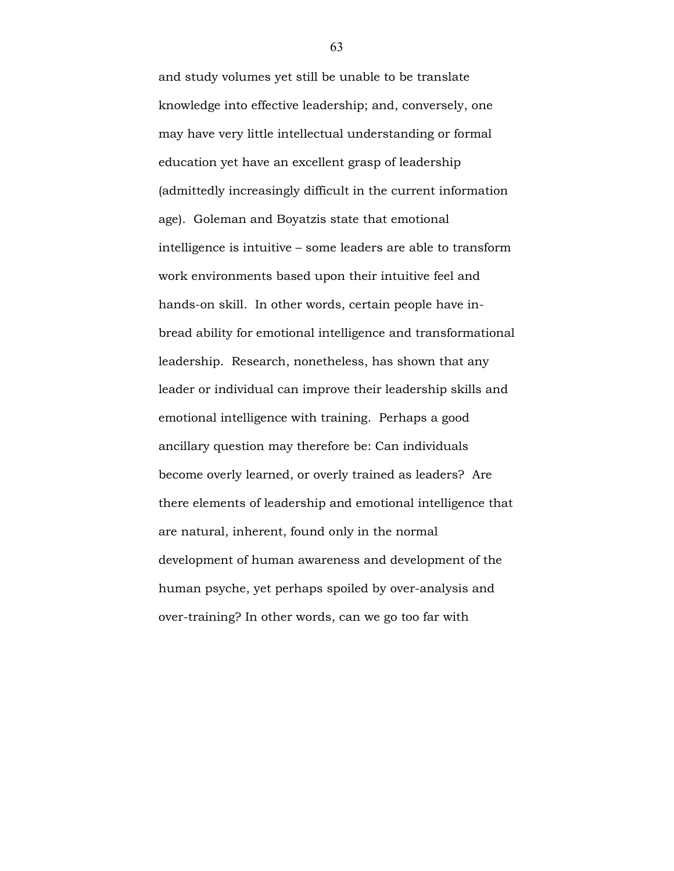and study volumes yet still be unable to be translate knowledge into effective leadership; and, conversely, one may have very little intellectual understanding or formal education yet have an excellent grasp of leadership (admittedly increasingly difficult in the current information age). Goleman and Boyatzis state that emotional intelligence is intuitive – some leaders are able to transform work environments based upon their intuitive feel and hands-on skill. In other words, certain people have inbread ability for emotional intelligence and transformational leadership. Research, nonetheless, has shown that any leader or individual can improve their leadership skills and emotional intelligence with training. Perhaps a good ancillary question may therefore be: Can individuals become overly learned, or overly trained as leaders? Are there elements of leadership and emotional intelligence that are natural, inherent, found only in the normal development of human awareness and development of the human psyche, yet perhaps spoiled by over-analysis and over-training? In other words, can we go too far with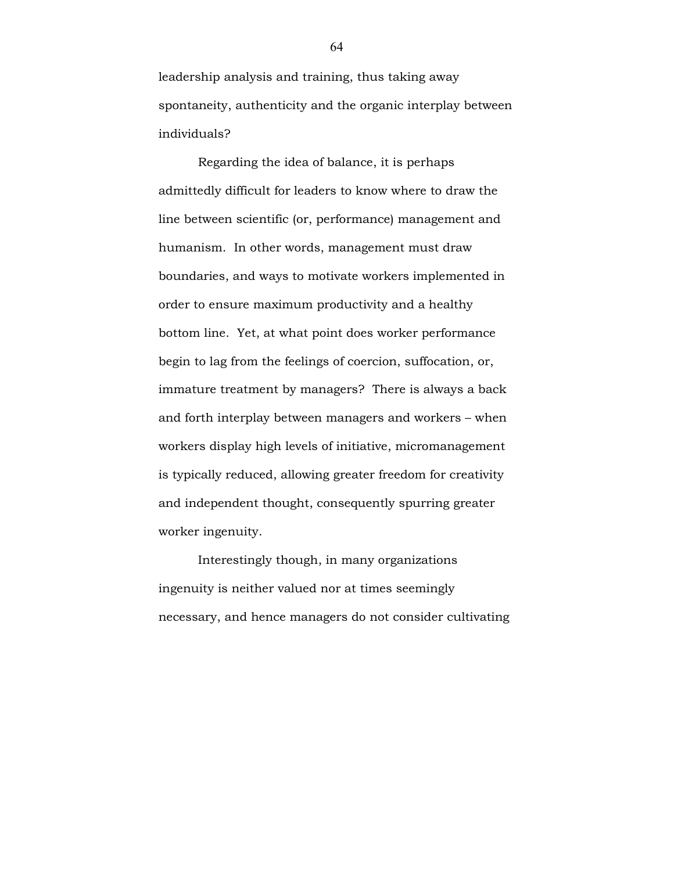leadership analysis and training, thus taking away spontaneity, authenticity and the organic interplay between individuals?

 Regarding the idea of balance, it is perhaps admittedly difficult for leaders to know where to draw the line between scientific (or, performance) management and humanism. In other words, management must draw boundaries, and ways to motivate workers implemented in order to ensure maximum productivity and a healthy bottom line. Yet, at what point does worker performance begin to lag from the feelings of coercion, suffocation, or, immature treatment by managers? There is always a back and forth interplay between managers and workers – when workers display high levels of initiative, micromanagement is typically reduced, allowing greater freedom for creativity and independent thought, consequently spurring greater worker ingenuity.

Interestingly though, in many organizations ingenuity is neither valued nor at times seemingly necessary, and hence managers do not consider cultivating

64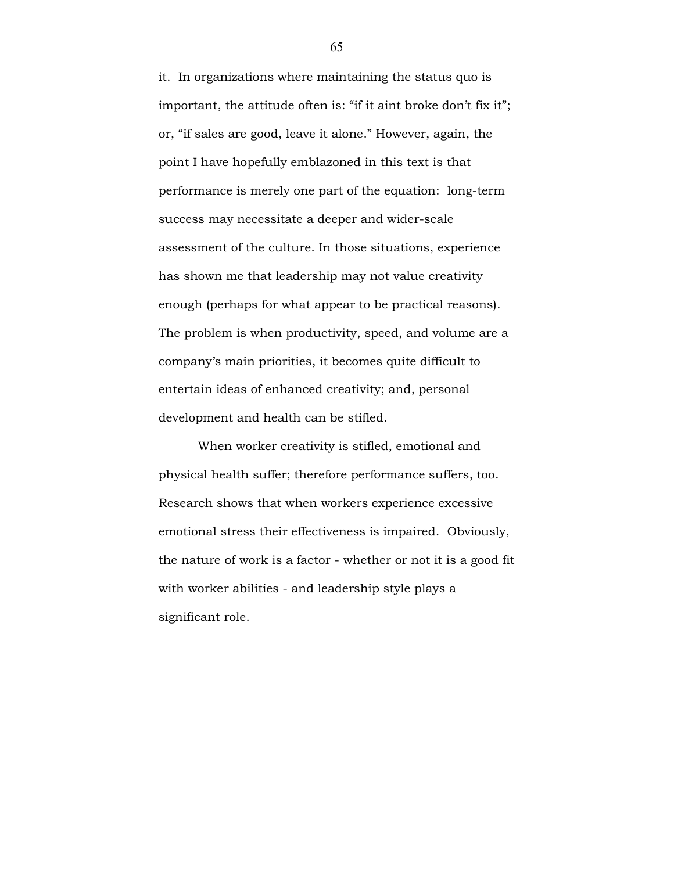it. In organizations where maintaining the status quo is important, the attitude often is: "if it aint broke don't fix it"; or, "if sales are good, leave it alone." However, again, the point I have hopefully emblazoned in this text is that performance is merely one part of the equation: long-term success may necessitate a deeper and wider-scale assessment of the culture. In those situations, experience has shown me that leadership may not value creativity enough (perhaps for what appear to be practical reasons). The problem is when productivity, speed, and volume are a company's main priorities, it becomes quite difficult to entertain ideas of enhanced creativity; and, personal development and health can be stifled.

When worker creativity is stifled, emotional and physical health suffer; therefore performance suffers, too. Research shows that when workers experience excessive emotional stress their effectiveness is impaired. Obviously, the nature of work is a factor - whether or not it is a good fit with worker abilities - and leadership style plays a significant role.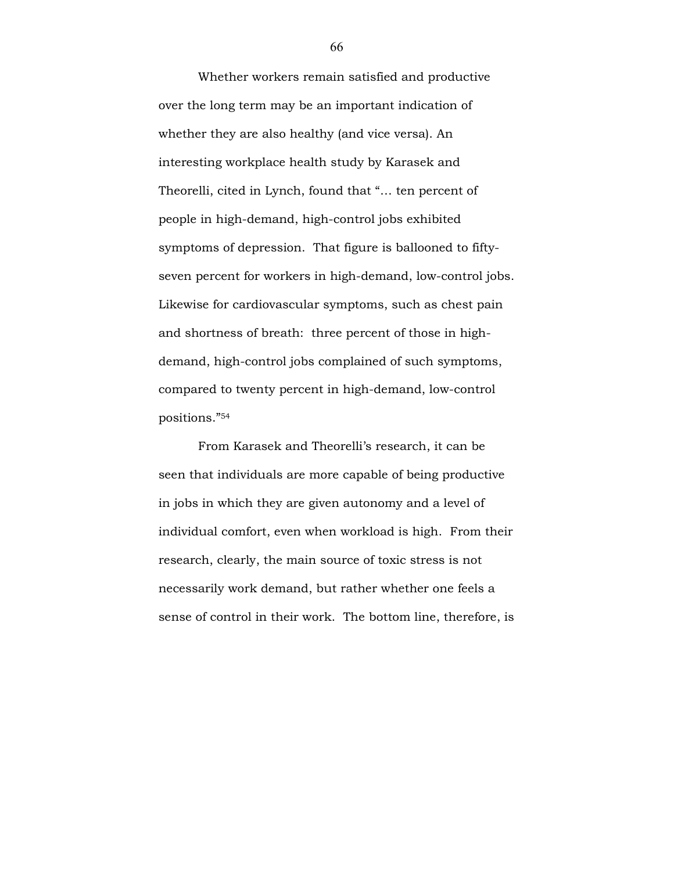Whether workers remain satisfied and productive over the long term may be an important indication of whether they are also healthy (and vice versa). An interesting workplace health study by Karasek and Theorelli, cited in Lynch, found that "… ten percent of people in high-demand, high-control jobs exhibited symptoms of depression. That figure is ballooned to fiftyseven percent for workers in high-demand, low-control jobs. Likewise for cardiovascular symptoms, such as chest pain and shortness of breath: three percent of those in highdemand, high-control jobs complained of such symptoms, compared to twenty percent in high-demand, low-control positions."<sup>54</sup>

From Karasek and Theorelli's research, it can be seen that individuals are more capable of being productive in jobs in which they are given autonomy and a level of individual comfort, even when workload is high. From their research, clearly, the main source of toxic stress is not necessarily work demand, but rather whether one feels a sense of control in their work. The bottom line, therefore, is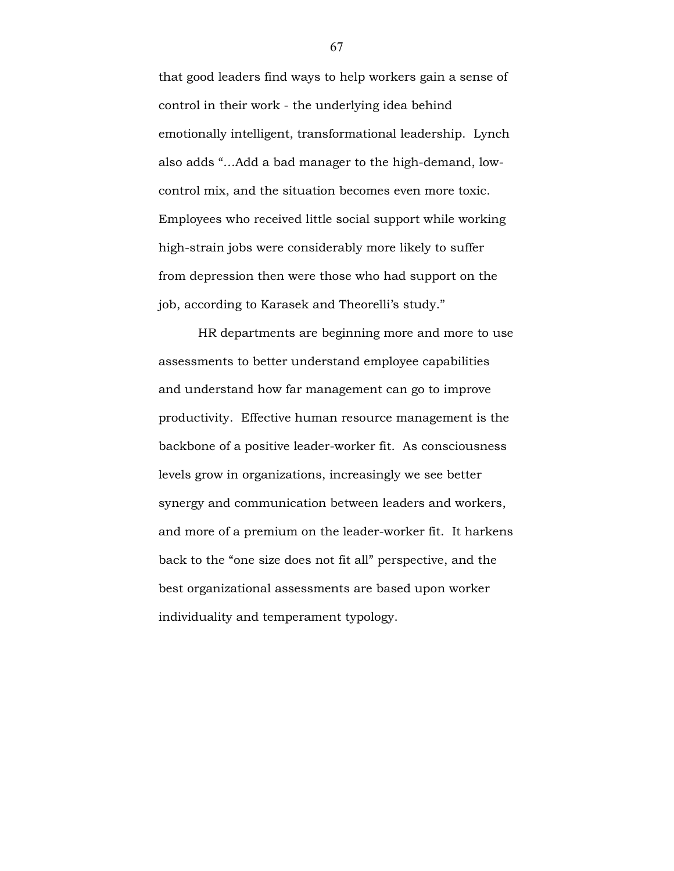that good leaders find ways to help workers gain a sense of control in their work - the underlying idea behind emotionally intelligent, transformational leadership. Lynch also adds "…Add a bad manager to the high-demand, lowcontrol mix, and the situation becomes even more toxic. Employees who received little social support while working high-strain jobs were considerably more likely to suffer from depression then were those who had support on the job, according to Karasek and Theorelli's study."

 HR departments are beginning more and more to use assessments to better understand employee capabilities and understand how far management can go to improve productivity. Effective human resource management is the backbone of a positive leader-worker fit. As consciousness levels grow in organizations, increasingly we see better synergy and communication between leaders and workers, and more of a premium on the leader-worker fit. It harkens back to the "one size does not fit all" perspective, and the best organizational assessments are based upon worker individuality and temperament typology.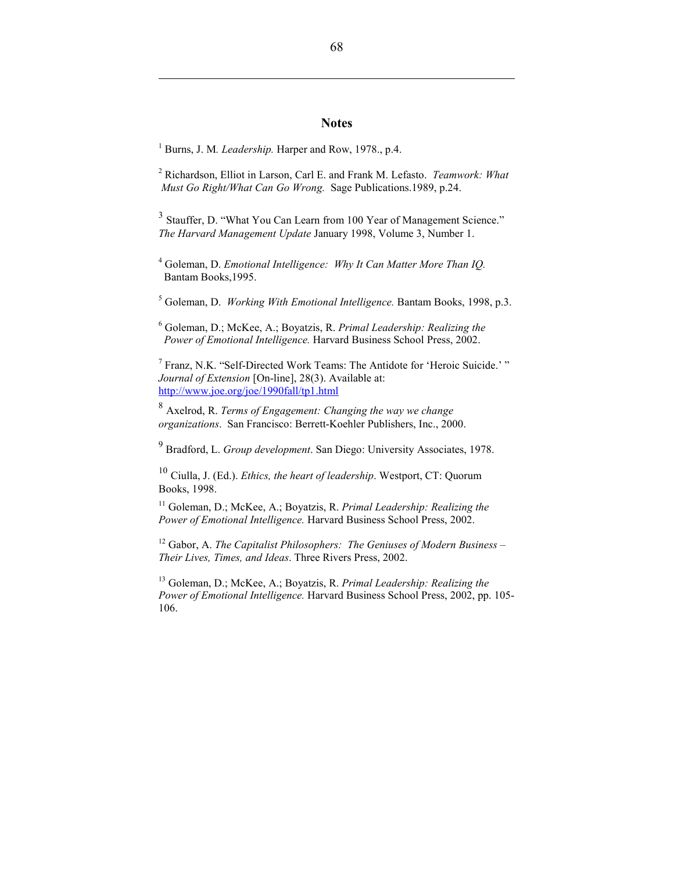### **Notes**

<sup>1</sup> Burns, J. M. *Leadership*. Harper and Row, 1978., p.4.

 $\overline{a}$ 

<sup>2</sup> Richardson, Elliot in Larson, Carl E. and Frank M. Lefasto. Teamwork: What Must Go Right/What Can Go Wrong. Sage Publications.1989, p.24.

<sup>3</sup> Stauffer, D. "What You Can Learn from 100 Year of Management Science." The Harvard Management Update January 1998, Volume 3, Number 1.

 $4$  Goleman, D. Emotional Intelligence: Why It Can Matter More Than IQ. Bantam Books,1995.

<sup>5</sup> Goleman, D. Working With Emotional Intelligence. Bantam Books, 1998, p.3.

<sup>6</sup> Goleman, D.; McKee, A.; Boyatzis, R. Primal Leadership: Realizing the Power of Emotional Intelligence. Harvard Business School Press, 2002.

<sup>7</sup> Franz, N.K. "Self-Directed Work Teams: The Antidote for 'Heroic Suicide.' " Journal of Extension [On-line], 28(3). Available at: http://www.joe.org/joe/1990fall/tp1.html

 $^8$  Axelrod, R. Terms of Engagement: Changing the way we change organizations. San Francisco: Berrett-Koehler Publishers, Inc., 2000.

<sup>9</sup> Bradford, L. Group development. San Diego: University Associates, 1978.

 $10$  Ciulla, J. (Ed.). *Ethics, the heart of leadership*. Westport, CT: Quorum Books, 1998.

 $11$  Goleman, D.; McKee, A.; Boyatzis, R. Primal Leadership: Realizing the Power of Emotional Intelligence. Harvard Business School Press, 2002.

<sup>12</sup> Gabor, A. The Capitalist Philosophers: The Geniuses of Modern Business – Their Lives, Times, and Ideas. Three Rivers Press, 2002.

<sup>13</sup> Goleman, D.; McKee, A.; Boyatzis, R. Primal Leadership: Realizing the Power of Emotional Intelligence. Harvard Business School Press, 2002, pp. 105-106.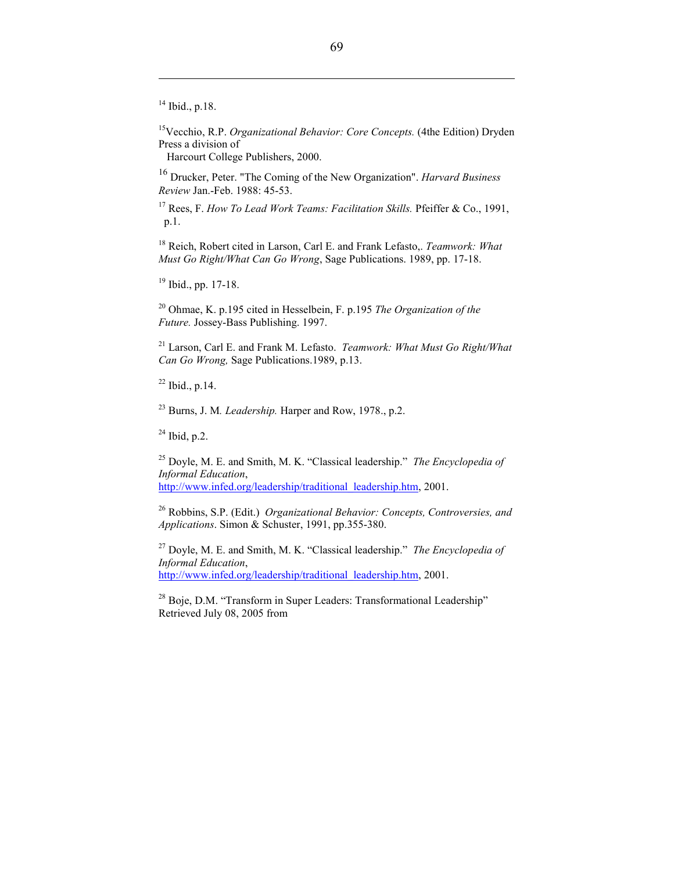<sup>14</sup> Ibid., p.18.

 $\overline{a}$ 

<sup>15</sup>Vecchio, R.P. Organizational Behavior: Core Concepts. (4the Edition) Dryden Press a division of

Harcourt College Publishers, 2000.

 $16$  Drucker, Peter. "The Coming of the New Organization". *Harvard Business* Review Jan.-Feb. 1988: 45-53.

<sup>17</sup> Rees, F. How To Lead Work Teams: Facilitation Skills. Pfeiffer & Co., 1991, p.1.

<sup>18</sup> Reich, Robert cited in Larson, Carl E. and Frank Lefasto,. Teamwork: What Must Go Right/What Can Go Wrong, Sage Publications. 1989, pp. 17-18.

 $19$  Ibid., pp. 17-18.

<sup>20</sup> Ohmae, K. p.195 cited in Hesselbein, F. p.195 The Organization of the Future. Jossey-Bass Publishing. 1997.

 $21$  Larson, Carl E. and Frank M. Lefasto. Teamwork: What Must Go Right/What Can Go Wrong, Sage Publications.1989, p.13.

 $22$  Ibid., p.14.

 $23$  Burns, J. M. *Leadership*. Harper and Row, 1978., p.2.

 $^{24}$  Ibid, p.2.

<sup>25</sup> Doyle, M. E. and Smith, M. K. "Classical leadership." *The Encyclopedia of* Informal Education, http://www.infed.org/leadership/traditional\_leadership.htm, 2001.

<sup>26</sup> Robbins, S.P. (Edit.) Organizational Behavior: Concepts, Controversies, and Applications. Simon & Schuster, 1991, pp.355-380.

<sup>27</sup> Doyle, M. E. and Smith, M. K. "Classical leadership." *The Encyclopedia of* Informal Education, http://www.infed.org/leadership/traditional\_leadership.htm, 2001.

<sup>28</sup> Boje, D.M. "Transform in Super Leaders: Transformational Leadership" Retrieved July 08, 2005 from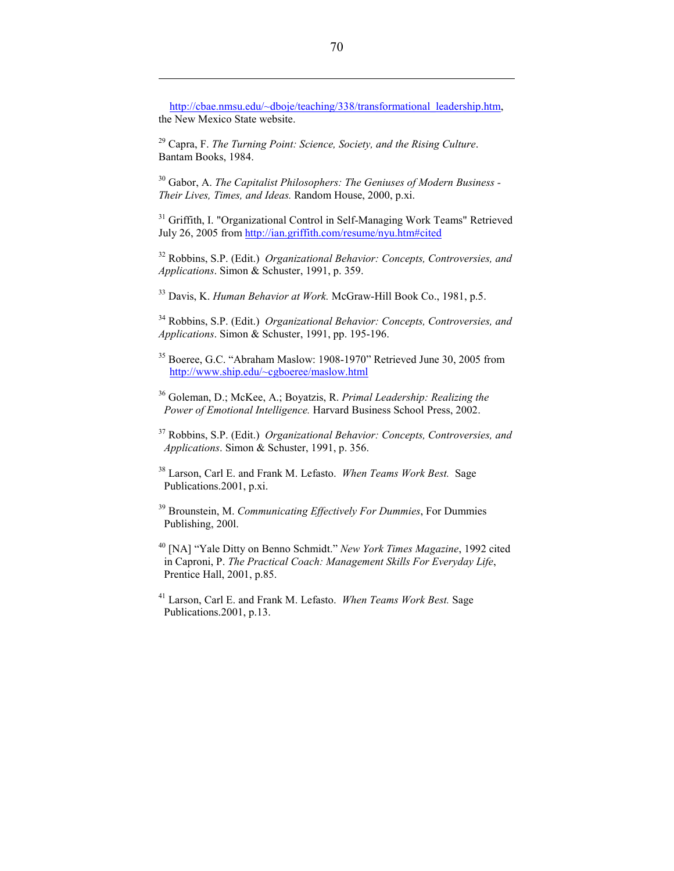http://cbae.nmsu.edu/~dboje/teaching/338/transformational\_leadership.htm, the New Mexico State website.

 $29$  Capra, F. The Turning Point: Science, Society, and the Rising Culture. Bantam Books, 1984.

 $\overline{a}$ 

 $30$  Gabor, A. The Capitalist Philosophers: The Geniuses of Modern Business -Their Lives, Times, and Ideas. Random House, 2000, p.xi.

<sup>31</sup> Griffith, I. "Organizational Control in Self-Managing Work Teams" Retrieved July 26, 2005 from http://ian.griffith.com/resume/nyu.htm#cited

 $32$  Robbins, S.P. (Edit.) Organizational Behavior: Concepts, Controversies, and Applications. Simon & Schuster, 1991, p. 359.

<sup>33</sup> Davis, K. Human Behavior at Work. McGraw-Hill Book Co., 1981, p.5.

<sup>34</sup> Robbins, S.P. (Edit.) Organizational Behavior: Concepts, Controversies, and Applications. Simon & Schuster, 1991, pp. 195-196.

<sup>35</sup> Boeree, G.C. "Abraham Maslow: 1908-1970" Retrieved June 30, 2005 from http://www.ship.edu/~cgboeree/maslow.html

- $36$  Goleman, D.; McKee, A.; Boyatzis, R. Primal Leadership: Realizing the Power of Emotional Intelligence. Harvard Business School Press, 2002.
- $37$  Robbins, S.P. (Edit.) Organizational Behavior: Concepts, Controversies, and Applications. Simon & Schuster, 1991, p. 356.
- <sup>38</sup> Larson, Carl E. and Frank M. Lefasto. When Teams Work Best. Sage Publications.2001, p.xi.
- $39$  Brounstein, M. Communicating Effectively For Dummies, For Dummies Publishing, 200l.

<sup>40</sup> [NA] "Yale Ditty on Benno Schmidt." New York Times Magazine, 1992 cited in Caproni, P. The Practical Coach: Management Skills For Everyday Life, Prentice Hall, 2001, p.85.

<sup>41</sup> Larson, Carl E. and Frank M. Lefasto. When Teams Work Best. Sage Publications.2001, p.13.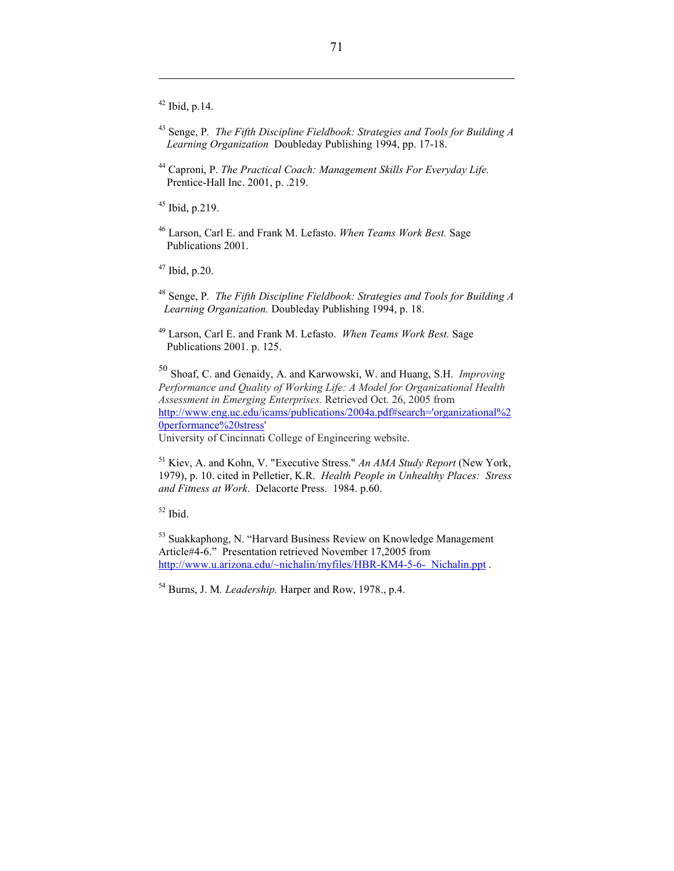$42$  Ibid, p.14.

 $\overline{a}$ 

- $43$  Senge, P. The Fifth Discipline Fieldbook: Strategies and Tools for Building A Learning Organization Doubleday Publishing 1994, pp. 17-18.
- <sup>44</sup> Caproni, P. The Practical Coach: Management Skills For Everyday Life. Prentice-Hall Inc. 2001, p. .219.

<sup>45</sup> Ibid, p.219.

<sup>46</sup> Larson, Carl E. and Frank M. Lefasto. When Teams Work Best. Sage Publications 2001.

<sup>47</sup> Ibid, p.20.

- <sup>48</sup> Senge, P. The Fifth Discipline Fieldbook: Strategies and Tools for Building A Learning Organization. Doubleday Publishing 1994, p. 18.
- <sup>49</sup> Larson, Carl E. and Frank M. Lefasto. When Teams Work Best. Sage Publications 2001. p. 125.

<sup>50</sup> Shoaf, C. and Genaidy, A. and Karwowski, W. and Huang, S.H. Improving Performance and Quality of Working Life: A Model for Organizational Health Assessment in Emerging Enterprises. Retrieved Oct. 26, 2005 from http://www.eng.uc.edu/icams/publications/2004a.pdf#search='organizational%2 0performance%20stress'

University of Cincinnati College of Engineering website.

 $<sup>51</sup>$  Kiev, A. and Kohn, V. "Executive Stress." An AMA Study Report (New York,</sup> 1979), p. 10. cited in Pelletier, K.R. Health People in Unhealthy Places: Stress and Fitness at Work. Delacorte Press. 1984. p.60.

 $52$  Ibid.

<sup>53</sup> Suakkaphong, N. "Harvard Business Review on Knowledge Management Article#4-6." Presentation retrieved November 17,2005 from http://www.u.arizona.edu/~nichalin/myfiles/HBR-KM4-5-6- Nichalin.ppt .

<sup>54</sup> Burns, J. M. Leadership. Harper and Row, 1978., p.4.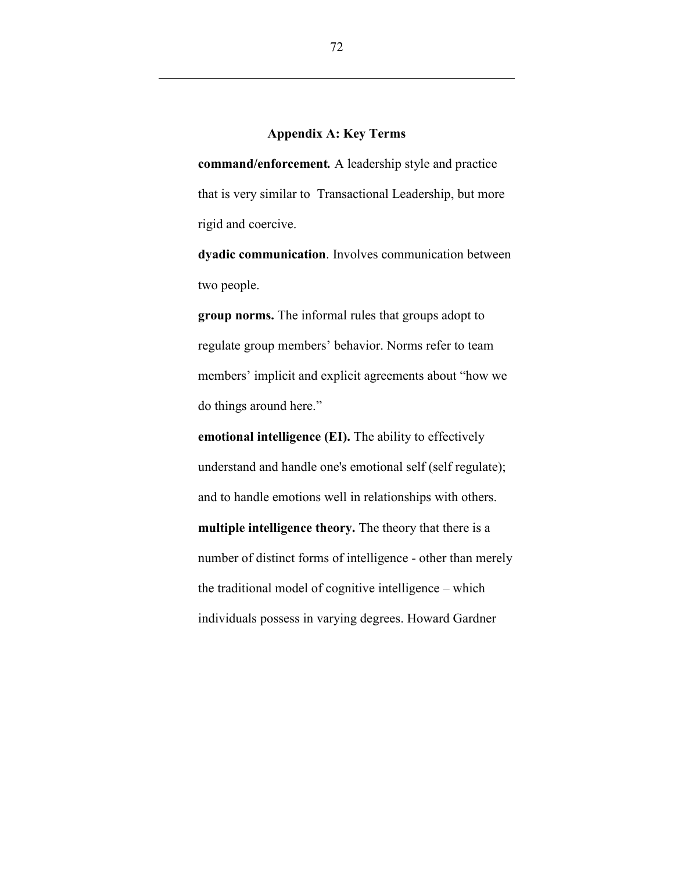# Appendix A: Key Terms

command/enforcement. A leadership style and practice that is very similar to Transactional Leadership, but more rigid and coercive.

dyadic communication. Involves communication between two people.

group norms. The informal rules that groups adopt to regulate group members' behavior. Norms refer to team members' implicit and explicit agreements about "how we do things around here."

emotional intelligence (EI). The ability to effectively understand and handle one's emotional self (self regulate); and to handle emotions well in relationships with others. multiple intelligence theory. The theory that there is a number of distinct forms of intelligence - other than merely the traditional model of cognitive intelligence – which individuals possess in varying degrees. Howard Gardner

 $\overline{a}$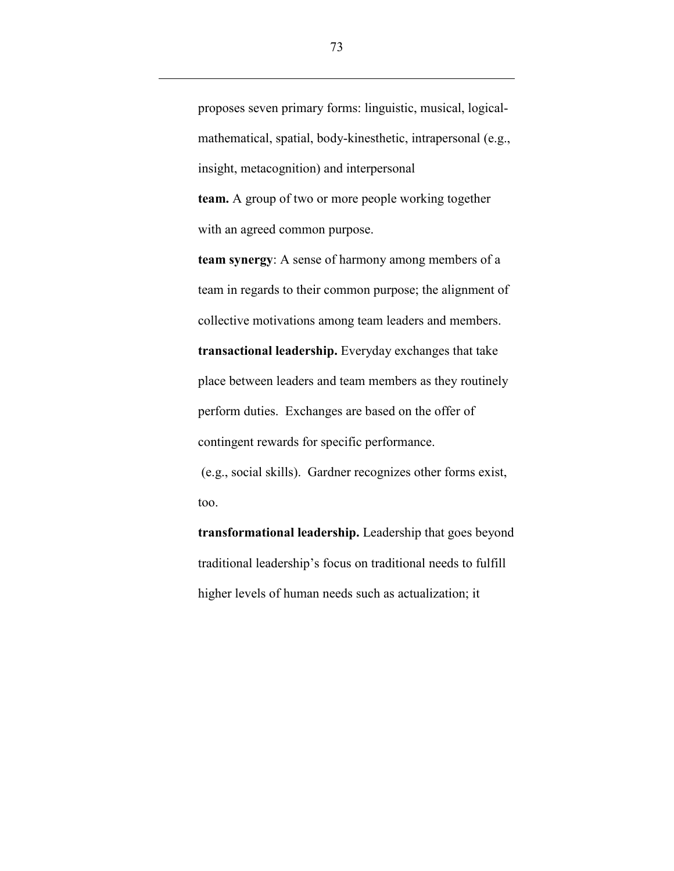proposes seven primary forms: linguistic, musical, logicalmathematical, spatial, body-kinesthetic, intrapersonal (e.g., insight, metacognition) and interpersonal team. A group of two or more people working together with an agreed common purpose.

team synergy: A sense of harmony among members of a team in regards to their common purpose; the alignment of collective motivations among team leaders and members. transactional leadership. Everyday exchanges that take place between leaders and team members as they routinely perform duties. Exchanges are based on the offer of contingent rewards for specific performance. (e.g., social skills). Gardner recognizes other forms exist,

too.

 $\overline{a}$ 

transformational leadership. Leadership that goes beyond traditional leadership's focus on traditional needs to fulfill higher levels of human needs such as actualization; it